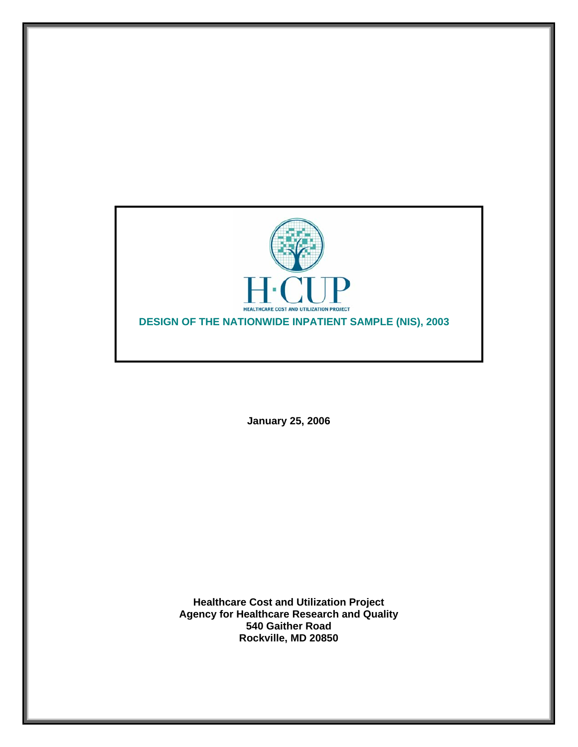

**January 25, 2006** 

**Healthcare Cost and Utilization Project Agency for Healthcare Research and Quality 540 Gaither Road Rockville, MD 20850**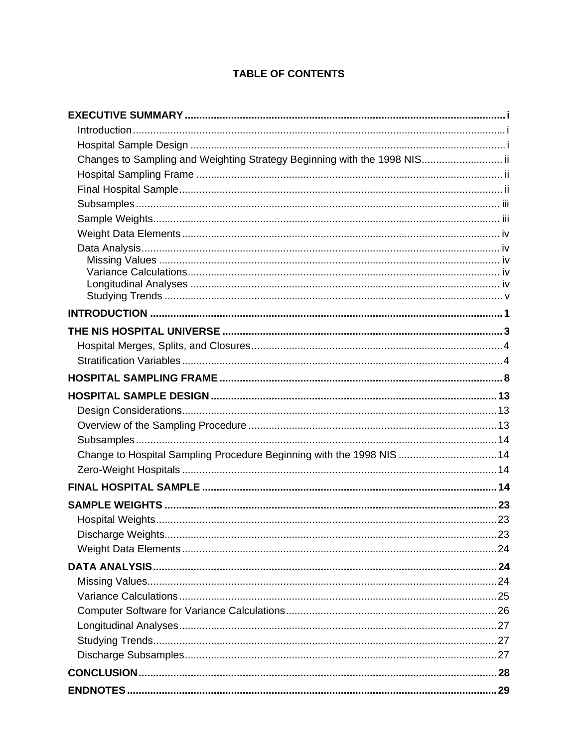# **TABLE OF CONTENTS**

| Changes to Sampling and Weighting Strategy Beginning with the 1998 NIS ii |  |
|---------------------------------------------------------------------------|--|
|                                                                           |  |
|                                                                           |  |
|                                                                           |  |
|                                                                           |  |
|                                                                           |  |
|                                                                           |  |
|                                                                           |  |
|                                                                           |  |
|                                                                           |  |
|                                                                           |  |
|                                                                           |  |
|                                                                           |  |
|                                                                           |  |
|                                                                           |  |
|                                                                           |  |
|                                                                           |  |
|                                                                           |  |
|                                                                           |  |
| Change to Hospital Sampling Procedure Beginning with the 1998 NIS 14      |  |
|                                                                           |  |
|                                                                           |  |
|                                                                           |  |
|                                                                           |  |
|                                                                           |  |
|                                                                           |  |
|                                                                           |  |
|                                                                           |  |
|                                                                           |  |
|                                                                           |  |
|                                                                           |  |
|                                                                           |  |
|                                                                           |  |
|                                                                           |  |
|                                                                           |  |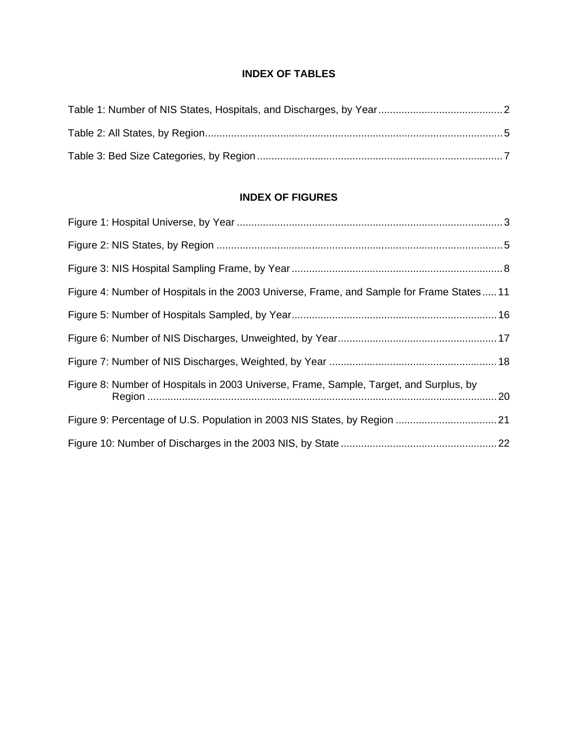## **INDEX OF TABLES**

# **INDEX OF FIGURES**

| Figure 4: Number of Hospitals in the 2003 Universe, Frame, and Sample for Frame States11 |  |
|------------------------------------------------------------------------------------------|--|
|                                                                                          |  |
|                                                                                          |  |
|                                                                                          |  |
| Figure 8: Number of Hospitals in 2003 Universe, Frame, Sample, Target, and Surplus, by   |  |
|                                                                                          |  |
|                                                                                          |  |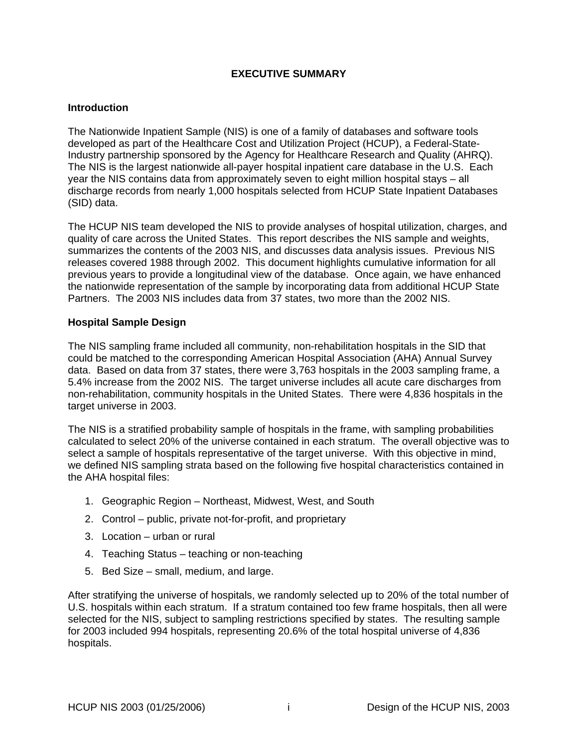## **EXECUTIVE SUMMARY**

#### <span id="page-3-0"></span>**Introduction**

The Nationwide Inpatient Sample (NIS) is one of a family of databases and software tools developed as part of the Healthcare Cost and Utilization Project (HCUP), a Federal-State-Industry partnership sponsored by the Agency for Healthcare Research and Quality (AHRQ). The NIS is the largest nationwide all-payer hospital inpatient care database in the U.S. Each year the NIS contains data from approximately seven to eight million hospital stays – all discharge records from nearly 1,000 hospitals selected from HCUP State Inpatient Databases (SID) data.

The HCUP NIS team developed the NIS to provide analyses of hospital utilization, charges, and quality of care across the United States. This report describes the NIS sample and weights, summarizes the contents of the 2003 NIS, and discusses data analysis issues. Previous NIS releases covered 1988 through 2002. This document highlights cumulative information for all previous years to provide a longitudinal view of the database. Once again, we have enhanced the nationwide representation of the sample by incorporating data from additional HCUP State Partners. The 2003 NIS includes data from 37 states, two more than the 2002 NIS.

#### **Hospital Sample Design**

The NIS sampling frame included all community, non-rehabilitation hospitals in the SID that could be matched to the corresponding American Hospital Association (AHA) Annual Survey data. Based on data from 37 states, there were 3,763 hospitals in the 2003 sampling frame, a 5.4% increase from the 2002 NIS. The target universe includes all acute care discharges from non-rehabilitation, community hospitals in the United States. There were 4,836 hospitals in the target universe in 2003.

The NIS is a stratified probability sample of hospitals in the frame, with sampling probabilities calculated to select 20% of the universe contained in each stratum. The overall objective was to select a sample of hospitals representative of the target universe. With this objective in mind, we defined NIS sampling strata based on the following five hospital characteristics contained in the AHA hospital files:

- 1. Geographic Region Northeast, Midwest, West, and South
- 2. Control public, private not-for-profit, and proprietary
- 3. Location urban or rural
- 4. Teaching Status teaching or non-teaching
- 5. Bed Size small, medium, and large.

After stratifying the universe of hospitals, we randomly selected up to 20% of the total number of U.S. hospitals within each stratum. If a stratum contained too few frame hospitals, then all were selected for the NIS, subject to sampling restrictions specified by states. The resulting sample for 2003 included 994 hospitals, representing 20.6% of the total hospital universe of 4,836 hospitals.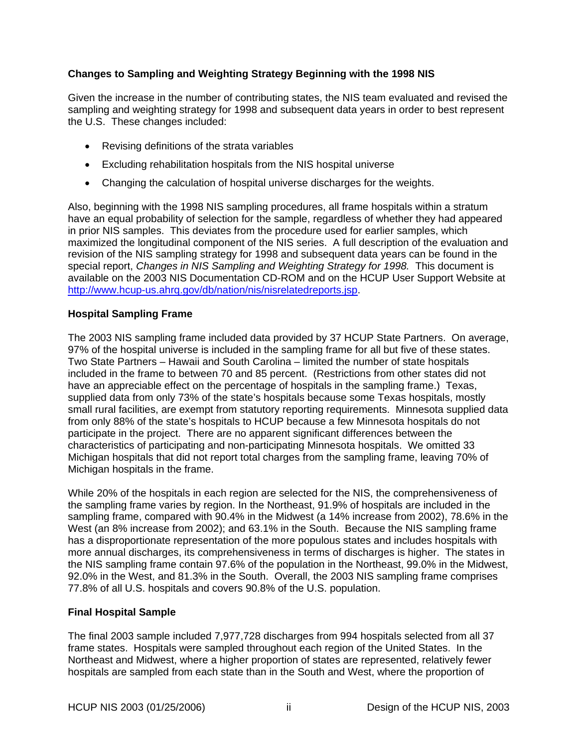## <span id="page-4-0"></span>**Changes to Sampling and Weighting Strategy Beginning with the 1998 NIS**

Given the increase in the number of contributing states, the NIS team evaluated and revised the sampling and weighting strategy for 1998 and subsequent data years in order to best represent the U.S. These changes included:

- Revising definitions of the strata variables
- Excluding rehabilitation hospitals from the NIS hospital universe
- Changing the calculation of hospital universe discharges for the weights.

Also, beginning with the 1998 NIS sampling procedures, all frame hospitals within a stratum have an equal probability of selection for the sample, regardless of whether they had appeared in prior NIS samples. This deviates from the procedure used for earlier samples, which maximized the longitudinal component of the NIS series. A full description of the evaluation and revision of the NIS sampling strategy for 1998 and subsequent data years can be found in the special report, *Changes in NIS Sampling and Weighting Strategy for 1998*. This document is available on the 2003 NIS Documentation CD-ROM and on the HCUP User Support Website at [http://www.hcup-us.ahrq.gov/db/nation/nis/nisrelatedreports.jsp.](http://www.hcup-us.ahrq.gov/db/nation/nis/nisrelatedreports.jsp)

## **Hospital Sampling Frame**

The 2003 NIS sampling frame included data provided by 37 HCUP State Partners. On average, 97% of the hospital universe is included in the sampling frame for all but five of these states. Two State Partners – Hawaii and South Carolina – limited the number of state hospitals included in the frame to between 70 and 85 percent. (Restrictions from other states did not have an appreciable effect on the percentage of hospitals in the sampling frame.) Texas, supplied data from only 73% of the state's hospitals because some Texas hospitals, mostly small rural facilities, are exempt from statutory reporting requirements. Minnesota supplied data from only 88% of the state's hospitals to HCUP because a few Minnesota hospitals do not participate in the project. There are no apparent significant differences between the characteristics of participating and non-participating Minnesota hospitals. We omitted 33 Michigan hospitals that did not report total charges from the sampling frame, leaving 70% of Michigan hospitals in the frame.

While 20% of the hospitals in each region are selected for the NIS, the comprehensiveness of the sampling frame varies by region. In the Northeast, 91.9% of hospitals are included in the sampling frame, compared with 90.4% in the Midwest (a 14% increase from 2002), 78.6% in the West (an 8% increase from 2002); and 63.1% in the South. Because the NIS sampling frame has a disproportionate representation of the more populous states and includes hospitals with more annual discharges, its comprehensiveness in terms of discharges is higher. The states in the NIS sampling frame contain 97.6% of the population in the Northeast, 99.0% in the Midwest, 92.0% in the West, and 81.3% in the South. Overall, the 2003 NIS sampling frame comprises 77.8% of all U.S. hospitals and covers 90.8% of the U.S. population.

## **Final Hospital Sample**

The final 2003 sample included 7,977,728 discharges from 994 hospitals selected from all 37 frame states. Hospitals were sampled throughout each region of the United States. In the Northeast and Midwest, where a higher proportion of states are represented, relatively fewer hospitals are sampled from each state than in the South and West, where the proportion of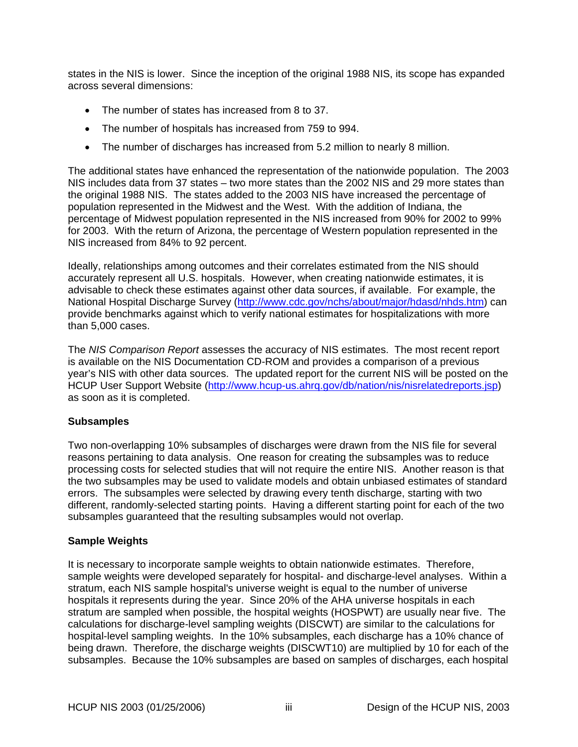<span id="page-5-0"></span>states in the NIS is lower. Since the inception of the original 1988 NIS, its scope has expanded across several dimensions:

- The number of states has increased from 8 to 37.
- The number of hospitals has increased from 759 to 994.
- The number of discharges has increased from 5.2 million to nearly 8 million.

The additional states have enhanced the representation of the nationwide population. The 2003 NIS includes data from 37 states – two more states than the 2002 NIS and 29 more states than the original 1988 NIS. The states added to the 2003 NIS have increased the percentage of population represented in the Midwest and the West. With the addition of Indiana, the percentage of Midwest population represented in the NIS increased from 90% for 2002 to 99% for 2003. With the return of Arizona, the percentage of Western population represented in the NIS increased from 84% to 92 percent.

Ideally, relationships among outcomes and their correlates estimated from the NIS should accurately represent all U.S. hospitals. However, when creating nationwide estimates, it is advisable to check these estimates against other data sources, if available. For example, the National Hospital Discharge Survey ([http://www.cdc.gov/nchs/about/major/hdasd/nhds.htm\)](http://www.cdc.gov/nchs/about/major/hdasd/nhds.htm) can provide benchmarks against which to verify national estimates for hospitalizations with more than 5,000 cases.

The *NIS Comparison Report* assesses the accuracy of NIS estimates. The most recent report is available on the NIS Documentation CD-ROM and provides a comparison of a previous year's NIS with other data sources. The updated report for the current NIS will be posted on the HCUP User Support Website [\(http://www.hcup-us.ahrq.gov/db/nation/nis/nisrelatedreports.jsp\)](http://www.hcup-us.ahrq.gov/db/nation/nis/nisrelatedreports.jsp) as soon as it is completed.

#### **Subsamples**

Two non-overlapping 10% subsamples of discharges were drawn from the NIS file for several reasons pertaining to data analysis. One reason for creating the subsamples was to reduce processing costs for selected studies that will not require the entire NIS. Another reason is that the two subsamples may be used to validate models and obtain unbiased estimates of standard errors. The subsamples were selected by drawing every tenth discharge, starting with two different, randomly-selected starting points. Having a different starting point for each of the two subsamples guaranteed that the resulting subsamples would not overlap.

## **Sample Weights**

It is necessary to incorporate sample weights to obtain nationwide estimates. Therefore, sample weights were developed separately for hospital- and discharge-level analyses. Within a stratum, each NIS sample hospital's universe weight is equal to the number of universe hospitals it represents during the year. Since 20% of the AHA universe hospitals in each stratum are sampled when possible, the hospital weights (HOSPWT) are usually near five. The calculations for discharge-level sampling weights (DISCWT) are similar to the calculations for hospital-level sampling weights. In the 10% subsamples, each discharge has a 10% chance of being drawn. Therefore, the discharge weights (DISCWT10) are multiplied by 10 for each of the subsamples. Because the 10% subsamples are based on samples of discharges, each hospital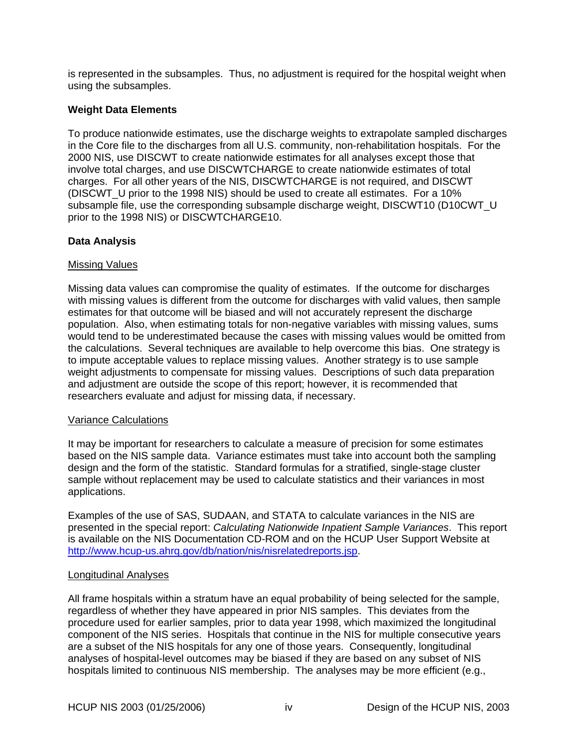<span id="page-6-0"></span>is represented in the subsamples. Thus, no adjustment is required for the hospital weight when using the subsamples.

## **Weight Data Elements**

To produce nationwide estimates, use the discharge weights to extrapolate sampled discharges in the Core file to the discharges from all U.S. community, non-rehabilitation hospitals. For the 2000 NIS, use DISCWT to create nationwide estimates for all analyses except those that involve total charges, and use DISCWTCHARGE to create nationwide estimates of total charges. For all other years of the NIS, DISCWTCHARGE is not required, and DISCWT (DISCWT\_U prior to the 1998 NIS) should be used to create all estimates. For a 10% subsample file, use the corresponding subsample discharge weight, DISCWT10 (D10CWT\_U prior to the 1998 NIS) or DISCWTCHARGE10.

#### **Data Analysis**

#### Missing Values

Missing data values can compromise the quality of estimates. If the outcome for discharges with missing values is different from the outcome for discharges with valid values, then sample estimates for that outcome will be biased and will not accurately represent the discharge population. Also, when estimating totals for non-negative variables with missing values, sums would tend to be underestimated because the cases with missing values would be omitted from the calculations. Several techniques are available to help overcome this bias. One strategy is to impute acceptable values to replace missing values. Another strategy is to use sample weight adjustments to compensate for missing values. Descriptions of such data preparation and adjustment are outside the scope of this report; however, it is recommended that researchers evaluate and adjust for missing data, if necessary.

#### Variance Calculations

It may be important for researchers to calculate a measure of precision for some estimates based on the NIS sample data. Variance estimates must take into account both the sampling design and the form of the statistic. Standard formulas for a stratified, single-stage cluster sample without replacement may be used to calculate statistics and their variances in most applications.

Examples of the use of SAS, SUDAAN, and STATA to calculate variances in the NIS are presented in the special report: *Calculating Nationwide Inpatient Sample Variances*. This report is available on the NIS Documentation CD-ROM and on the HCUP User Support Website at [http://www.hcup-us.ahrq.gov/db/nation/nis/nisrelatedreports.jsp.](http://www.hcup-us.ahrq.gov/db/nation/nis/nisrelatedreports.jsp)

#### Longitudinal Analyses

All frame hospitals within a stratum have an equal probability of being selected for the sample, regardless of whether they have appeared in prior NIS samples. This deviates from the procedure used for earlier samples, prior to data year 1998, which maximized the longitudinal component of the NIS series. Hospitals that continue in the NIS for multiple consecutive years are a subset of the NIS hospitals for any one of those years. Consequently, longitudinal analyses of hospital-level outcomes may be biased if they are based on any subset of NIS hospitals limited to continuous NIS membership. The analyses may be more efficient (e.g.,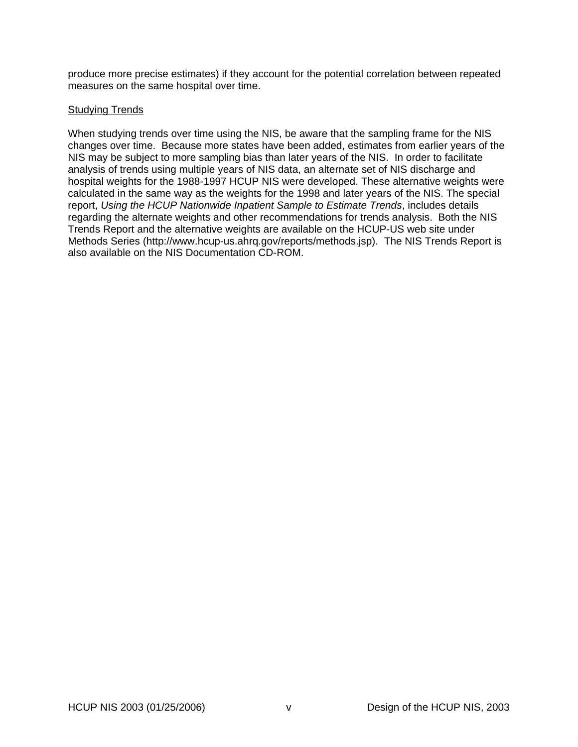<span id="page-7-0"></span>produce more precise estimates) if they account for the potential correlation between repeated measures on the same hospital over time.

#### Studying Trends

When studying trends over time using the NIS, be aware that the sampling frame for the NIS changes over time. Because more states have been added, estimates from earlier years of the NIS may be subject to more sampling bias than later years of the NIS. In order to facilitate analysis of trends using multiple years of NIS data, an alternate set of NIS discharge and hospital weights for the 1988-1997 HCUP NIS were developed. These alternative weights were calculated in the same way as the weights for the 1998 and later years of the NIS. The special report, *[Using the HCUP Nationwide Inpatient Sample to Estimate Trends](http://www.hcup-us.ahrq.gov/reports/TrendReport2005_1.pdf)*, includes details regarding the alternate weights and other recommendations for trends analysis. Both the NIS Trends Report and the alternative weights are available on the HCUP-US web site under Methods Series (http://www.hcup-us.ahrq.gov/reports/methods.jsp). The NIS Trends Report is also available on the NIS Documentation CD-ROM.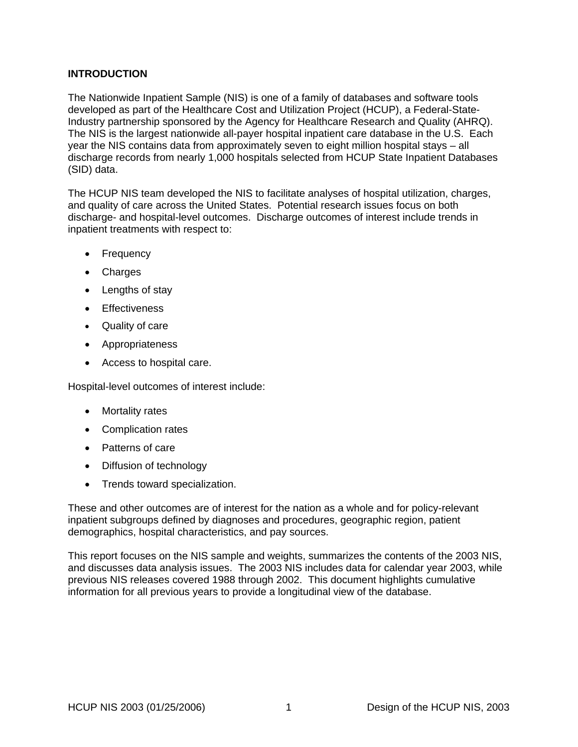## <span id="page-8-0"></span>**INTRODUCTION**

The Nationwide Inpatient Sample (NIS) is one of a family of databases and software tools developed as part of the Healthcare Cost and Utilization Project (HCUP), a Federal-State-Industry partnership sponsored by the Agency for Healthcare Research and Quality (AHRQ). The NIS is the largest nationwide all-payer hospital inpatient care database in the U.S. Each year the NIS contains data from approximately seven to eight million hospital stays – all discharge records from nearly 1,000 hospitals selected from HCUP State Inpatient Databases (SID) data.

The HCUP NIS team developed the NIS to facilitate analyses of hospital utilization, charges, and quality of care across the United States. Potential research issues focus on both discharge- and hospital-level outcomes. Discharge outcomes of interest include trends in inpatient treatments with respect to:

- Frequency
- Charges
- Lengths of stay
- Effectiveness
- Quality of care
- Appropriateness
- Access to hospital care.

Hospital-level outcomes of interest include:

- Mortality rates
- Complication rates
- Patterns of care
- Diffusion of technology
- Trends toward specialization.

These and other outcomes are of interest for the nation as a whole and for policy-relevant inpatient subgroups defined by diagnoses and procedures, geographic region, patient demographics, hospital characteristics, and pay sources.

This report focuses on the NIS sample and weights, summarizes the contents of the 2003 NIS, and discusses data analysis issues. The 2003 NIS includes data for calendar year 2003, while previous NIS releases covered 1988 through 2002. This document highlights cumulative information for all previous years to provide a longitudinal view of the database.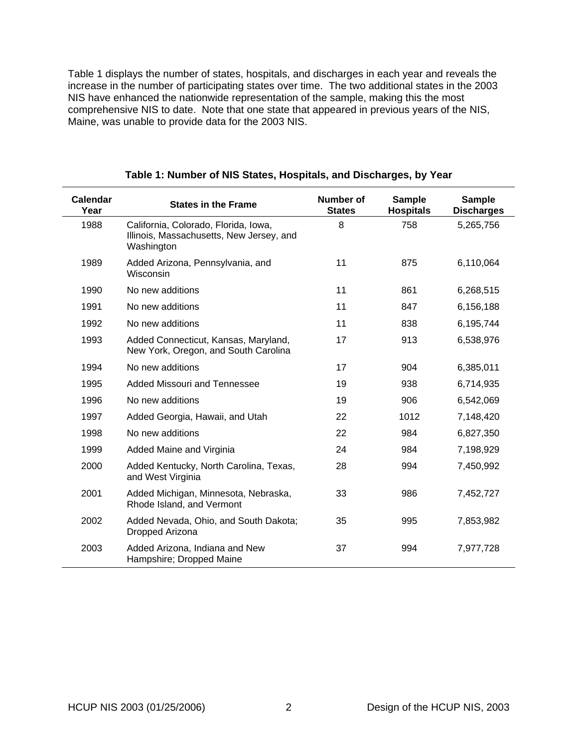<span id="page-9-0"></span>[Table 1](#page-9-1) displays the number of states, hospitals, and discharges in each year and reveals the increase in the number of participating states over time. The two additional states in the 2003 NIS have enhanced the nationwide representation of the sample, making this the most comprehensive NIS to date. Note that one state that appeared in previous years of the NIS, Maine, was unable to provide data for the 2003 NIS.

<span id="page-9-1"></span>

| <b>Calendar</b><br>Year | <b>States in the Frame</b>                                                                     | <b>Number of</b><br><b>States</b> | <b>Sample</b><br><b>Hospitals</b> | <b>Sample</b><br><b>Discharges</b> |
|-------------------------|------------------------------------------------------------------------------------------------|-----------------------------------|-----------------------------------|------------------------------------|
| 1988                    | California, Colorado, Florida, Iowa,<br>Illinois, Massachusetts, New Jersey, and<br>Washington | 8                                 | 758                               | 5,265,756                          |
| 1989                    | Added Arizona, Pennsylvania, and<br>Wisconsin                                                  | 11                                | 875                               | 6,110,064                          |
| 1990                    | No new additions                                                                               | 11                                | 861                               | 6,268,515                          |
| 1991                    | No new additions                                                                               | 11                                | 847                               | 6,156,188                          |
| 1992                    | No new additions                                                                               | 11                                | 838                               | 6,195,744                          |
| 1993                    | Added Connecticut, Kansas, Maryland,<br>New York, Oregon, and South Carolina                   | 17                                | 913                               | 6,538,976                          |
| 1994                    | No new additions                                                                               | 17                                | 904                               | 6,385,011                          |
| 1995                    | Added Missouri and Tennessee                                                                   | 19                                | 938                               | 6,714,935                          |
| 1996                    | No new additions                                                                               | 19                                | 906                               | 6,542,069                          |
| 1997                    | Added Georgia, Hawaii, and Utah                                                                | 22                                | 1012                              | 7,148,420                          |
| 1998                    | No new additions                                                                               | 22                                | 984                               | 6,827,350                          |
| 1999                    | Added Maine and Virginia                                                                       | 24                                | 984                               | 7,198,929                          |
| 2000                    | Added Kentucky, North Carolina, Texas,<br>and West Virginia                                    | 28                                | 994                               | 7,450,992                          |
| 2001                    | Added Michigan, Minnesota, Nebraska,<br>Rhode Island, and Vermont                              | 33                                | 986                               | 7,452,727                          |
| 2002                    | Added Nevada, Ohio, and South Dakota;<br>Dropped Arizona                                       | 35                                | 995                               | 7,853,982                          |
| 2003                    | Added Arizona, Indiana and New<br>Hampshire; Dropped Maine                                     | 37                                | 994                               | 7,977,728                          |

|  | Table 1: Number of NIS States, Hospitals, and Discharges, by Year |  |
|--|-------------------------------------------------------------------|--|
|--|-------------------------------------------------------------------|--|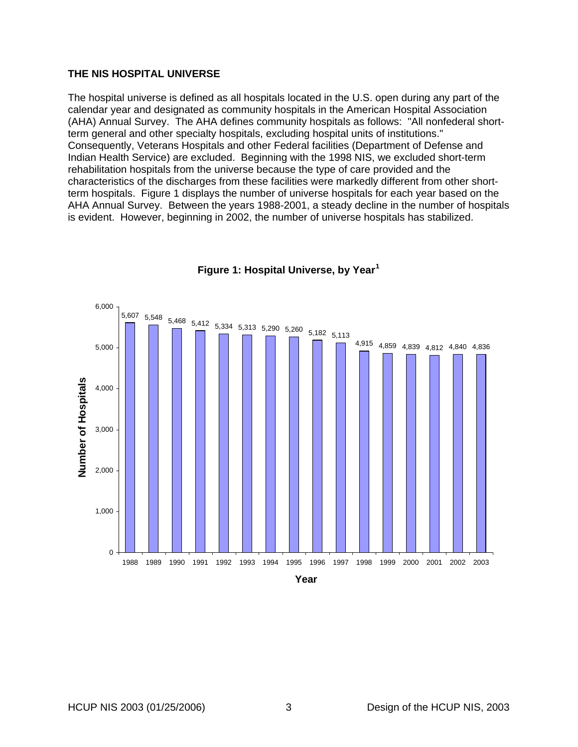#### <span id="page-10-0"></span>**THE NIS HOSPITAL UNIVERSE**

The hospital universe is defined as all hospitals located in the U.S. open during any part of the calendar year and designated as community hospitals in the American Hospital Association (AHA) Annual Survey. The AHA defines community hospitals as follows: "All nonfederal shortterm general and other specialty hospitals, excluding hospital units of institutions." Consequently, Veterans Hospitals and other Federal facilities (Department of Defense and Indian Health Service) are excluded. Beginning with the 1998 NIS, we excluded short-term rehabilitation hospitals from the universe because the type of care provided and the characteristics of the discharges from these facilities were markedly different from other shortterm hospitals. [Figure 1](#page-10-1) displays the number of universe hospitals for each year based on the AHA Annual Survey. Between the years 1988-2001, a steady decline in the number of hospitals is evident. However, beginning in 2002, the number of universe hospitals has stabilized.

<span id="page-10-1"></span>

**Figure 1: Hospital Universe, by Year[1](#page-37-0)**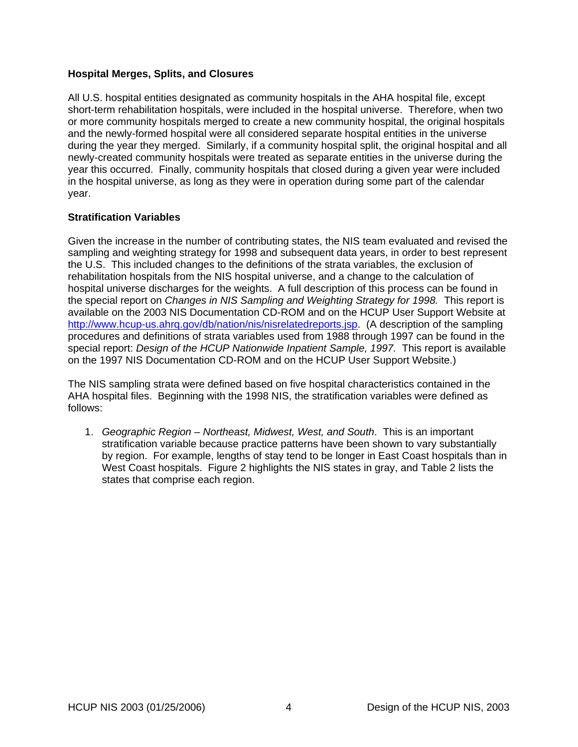## <span id="page-11-0"></span>**Hospital Merges, Splits, and Closures**

All U.S. hospital entities designated as community hospitals in the AHA hospital file, except short-term rehabilitation hospitals, were included in the hospital universe. Therefore, when two or more community hospitals merged to create a new community hospital, the original hospitals and the newly-formed hospital were all considered separate hospital entities in the universe during the year they merged. Similarly, if a community hospital split, the original hospital and all newly-created community hospitals were treated as separate entities in the universe during the year this occurred. Finally, community hospitals that closed during a given year were included in the hospital universe, as long as they were in operation during some part of the calendar year.

#### **Stratification Variables**

Given the increase in the number of contributing states, the NIS team evaluated and revised the sampling and weighting strategy for 1998 and subsequent data years, in order to best represent the U.S. This included changes to the definitions of the strata variables, the exclusion of rehabilitation hospitals from the NIS hospital universe, and a change to the calculation of hospital universe discharges for the weights. A full description of this process can be found in the special report on *Changes in NIS Sampling and Weighting Strategy for 1998.* This report is available on the 2003 NIS Documentation CD-ROM and on the HCUP User Support Website at [http://www.hcup-us.ahrq.gov/db/nation/nis/nisrelatedreports.jsp.](http://www.hcup-us.ahrq.gov/db/nation/nis/nisrelatedreports.jsp) (A description of the sampling procedures and definitions of strata variables used from 1988 through 1997 can be found in the special report: *Design of the HCUP Nationwide Inpatient Sample, 1997.* This report is available on the 1997 NIS Documentation CD-ROM and on the HCUP User Support Website.)

The NIS sampling strata were defined based on five hospital characteristics contained in the AHA hospital files. Beginning with the 1998 NIS, the stratification variables were defined as follows:

1. *Geographic Region – Northeast, Midwest, West, and South*. This is an important stratification variable because practice patterns have been shown to vary substantially by region. For example, lengths of stay tend to be longer in East Coast hospitals than in West Coast hospitals. [Figure 2](#page-12-1) highlights the NIS states in gray, and [Table 2](#page-12-2) lists the states that comprise each region.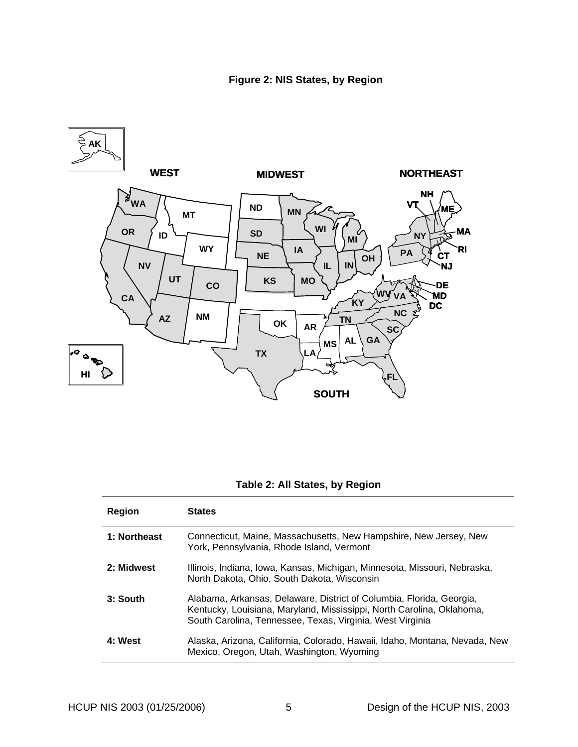<span id="page-12-1"></span><span id="page-12-0"></span>

## **Table 2: All States, by Region**

<span id="page-12-2"></span>

| Region       | <b>States</b>                                                                                                                                                                                              |
|--------------|------------------------------------------------------------------------------------------------------------------------------------------------------------------------------------------------------------|
| 1: Northeast | Connecticut, Maine, Massachusetts, New Hampshire, New Jersey, New<br>York, Pennsylvania, Rhode Island, Vermont                                                                                             |
| 2: Midwest   | Illinois, Indiana, Iowa, Kansas, Michigan, Minnesota, Missouri, Nebraska,<br>North Dakota, Ohio, South Dakota, Wisconsin                                                                                   |
| 3: South     | Alabama, Arkansas, Delaware, District of Columbia, Florida, Georgia,<br>Kentucky, Louisiana, Maryland, Mississippi, North Carolina, Oklahoma,<br>South Carolina, Tennessee, Texas, Virginia, West Virginia |
| 4: West      | Alaska, Arizona, California, Colorado, Hawaii, Idaho, Montana, Nevada, New<br>Mexico, Oregon, Utah, Washington, Wyoming                                                                                    |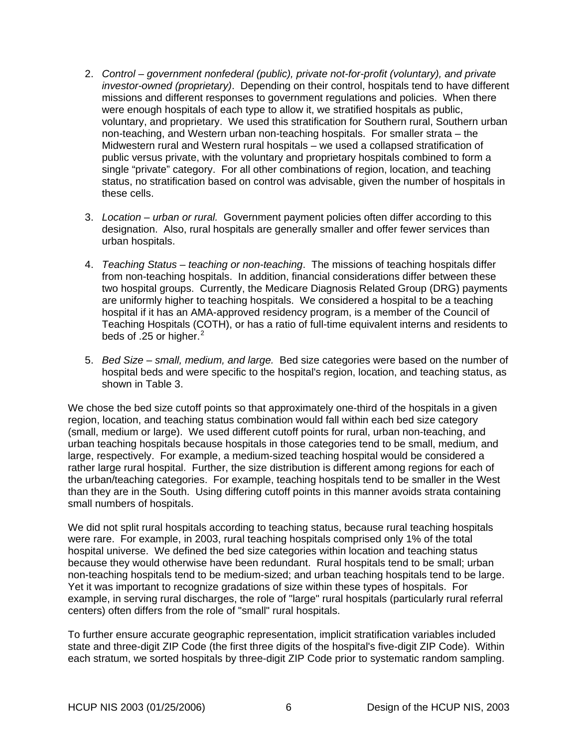- 2. *Control government nonfederal (public), private not-for-profit (voluntary), and private investor-owned (proprietary)*. Depending on their control, hospitals tend to have different missions and different responses to government regulations and policies. When there were enough hospitals of each type to allow it, we stratified hospitals as public, voluntary, and proprietary. We used this stratification for Southern rural, Southern urban non-teaching, and Western urban non-teaching hospitals. For smaller strata – the Midwestern rural and Western rural hospitals – we used a collapsed stratification of public versus private, with the voluntary and proprietary hospitals combined to form a single "private" category. For all other combinations of region, location, and teaching status, no stratification based on control was advisable, given the number of hospitals in these cells.
- 3. *Location urban or rural.* Government payment policies often differ according to this designation. Also, rural hospitals are generally smaller and offer fewer services than urban hospitals.
- 4. *Teaching Status teaching or non-teaching*. The missions of teaching hospitals differ from non-teaching hospitals. In addition, financial considerations differ between these two hospital groups. Currently, the Medicare Diagnosis Related Group (DRG) payments are uniformly higher to teaching hospitals. We considered a hospital to be a teaching hospital if it has an AMA-approved residency program, is a member of the Council of Teaching Hospitals (COTH), or has a ratio of full-time equivalent interns and residents to beds of .[2](#page-37-1)5 or higher.<sup>2</sup>
- 5. *Bed Size small, medium, and large.* Bed size categories were based on the number of hospital beds and were specific to the hospital's region, location, and teaching status, as shown in [Table 3](#page-14-1).

We chose the bed size cutoff points so that approximately one-third of the hospitals in a given region, location, and teaching status combination would fall within each bed size category (small, medium or large). We used different cutoff points for rural, urban non-teaching, and urban teaching hospitals because hospitals in those categories tend to be small, medium, and large, respectively. For example, a medium-sized teaching hospital would be considered a rather large rural hospital. Further, the size distribution is different among regions for each of the urban/teaching categories. For example, teaching hospitals tend to be smaller in the West than they are in the South. Using differing cutoff points in this manner avoids strata containing small numbers of hospitals.

We did not split rural hospitals according to teaching status, because rural teaching hospitals were rare. For example, in 2003, rural teaching hospitals comprised only 1% of the total hospital universe. We defined the bed size categories within location and teaching status because they would otherwise have been redundant. Rural hospitals tend to be small; urban non-teaching hospitals tend to be medium-sized; and urban teaching hospitals tend to be large. Yet it was important to recognize gradations of size within these types of hospitals. For example, in serving rural discharges, the role of "large" rural hospitals (particularly rural referral centers) often differs from the role of "small" rural hospitals.

To further ensure accurate geographic representation, implicit stratification variables included state and three-digit ZIP Code (the first three digits of the hospital's five-digit ZIP Code). Within each stratum, we sorted hospitals by three-digit ZIP Code prior to systematic random sampling.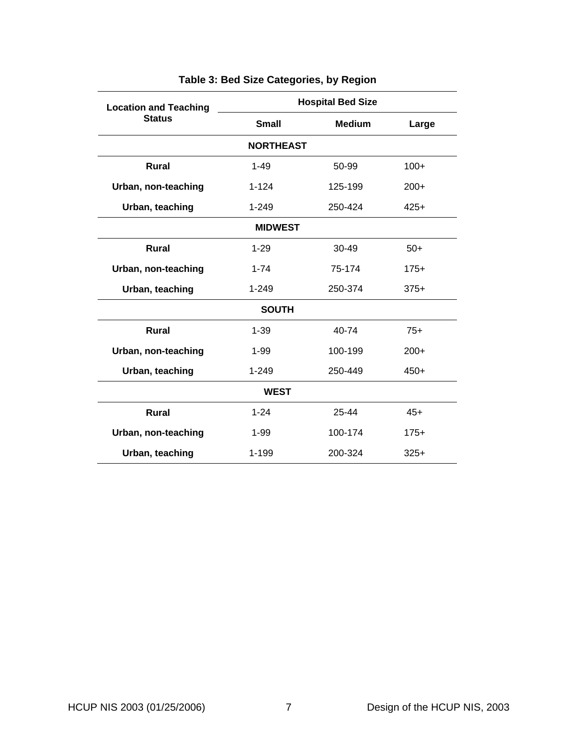<span id="page-14-1"></span><span id="page-14-0"></span>

| <b>Location and Teaching</b> | <b>Hospital Bed Size</b> |               |        |
|------------------------------|--------------------------|---------------|--------|
| <b>Status</b>                | <b>Small</b>             | <b>Medium</b> | Large  |
|                              | <b>NORTHEAST</b>         |               |        |
| <b>Rural</b>                 | $1 - 49$                 | 50-99         | $100+$ |
| Urban, non-teaching          | $1 - 124$                | 125-199       | $200+$ |
| Urban, teaching              | $1 - 249$                | 250-424       | $425+$ |
| <b>MIDWEST</b>               |                          |               |        |
| <b>Rural</b>                 | $1 - 29$                 | $30 - 49$     | $50+$  |
| Urban, non-teaching          | $1 - 74$                 | 75-174        | $175+$ |
| Urban, teaching              | $1 - 249$                | 250-374       | $375+$ |
| <b>SOUTH</b>                 |                          |               |        |
| <b>Rural</b>                 | $1 - 39$                 | 40-74         | $75+$  |
| Urban, non-teaching          | $1 - 99$                 | 100-199       | $200+$ |
| Urban, teaching              | $1 - 249$                | 250-449       | $450+$ |
| <b>WEST</b>                  |                          |               |        |
| <b>Rural</b>                 | $1 - 24$                 | 25-44         | $45+$  |
| Urban, non-teaching          | $1 - 99$                 | 100-174       | $175+$ |
| Urban, teaching              | 1-199                    | 200-324       | $325+$ |

# **Table 3: Bed Size Categories, by Region**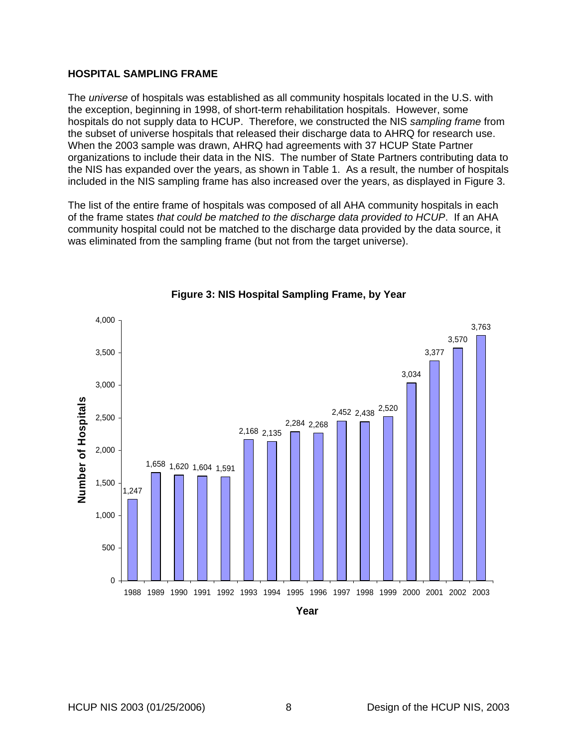#### <span id="page-15-0"></span>**HOSPITAL SAMPLING FRAME**

The *universe* of hospitals was established as all community hospitals located in the U.S. with the exception, beginning in 1998, of short-term rehabilitation hospitals. However, some hospitals do not supply data to HCUP. Therefore, we constructed the NIS *sampling frame* from the subset of universe hospitals that released their discharge data to AHRQ for research use. When the 2003 sample was drawn, AHRQ had agreements with 37 HCUP State Partner organizations to include their data in the NIS. The number of State Partners contributing data to the NIS has expanded over the years, as shown in [Table 1.](#page-9-1) As a result, the number of hospitals included in the NIS sampling frame has also increased over the years, as displayed in [Figure 3](#page-15-1).

The list of the entire frame of hospitals was composed of all AHA community hospitals in each of the frame states *that could be matched to the discharge data provided to HCUP*. If an AHA community hospital could not be matched to the discharge data provided by the data source, it was eliminated from the sampling frame (but not from the target universe).

<span id="page-15-1"></span>

**Figure 3: NIS Hospital Sampling Frame, by Year**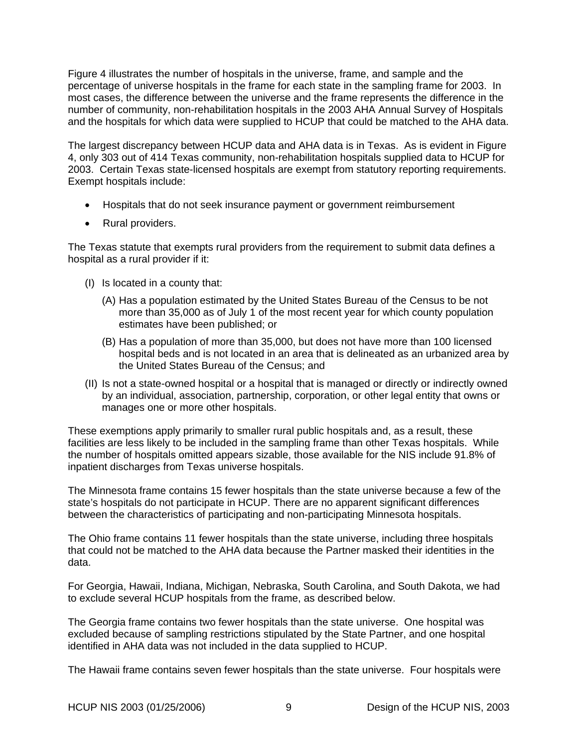[Figure 4](#page-18-1) illustrates the number of hospitals in the universe, frame, and sample and the percentage of universe hospitals in the frame for each state in the sampling frame for 2003. In most cases, the difference between the universe and the frame represents the difference in the number of community, non-rehabilitation hospitals in the 2003 AHA Annual Survey of Hospitals and the hospitals for which data were supplied to HCUP that could be matched to the AHA data.

The largest discrepancy between HCUP data and AHA data is in Texas. As is evident in [Figure](#page-18-1)  [4](#page-18-1), only 303 out of 414 Texas community, non-rehabilitation hospitals supplied data to HCUP for 2003. Certain Texas state-licensed hospitals are exempt from statutory reporting requirements. Exempt hospitals include:

- Hospitals that do not seek insurance payment or government reimbursement
- Rural providers.

The Texas statute that exempts rural providers from the requirement to submit data defines a hospital as a rural provider if it:

- (I) Is located in a county that:
	- (A) Has a population estimated by the United States Bureau of the Census to be not more than 35,000 as of July 1 of the most recent year for which county population estimates have been published; or
	- (B) Has a population of more than 35,000, but does not have more than 100 licensed hospital beds and is not located in an area that is delineated as an urbanized area by the United States Bureau of the Census; and
- (II) Is not a state-owned hospital or a hospital that is managed or directly or indirectly owned by an individual, association, partnership, corporation, or other legal entity that owns or manages one or more other hospitals.

These exemptions apply primarily to smaller rural public hospitals and, as a result, these facilities are less likely to be included in the sampling frame than other Texas hospitals. While the number of hospitals omitted appears sizable, those available for the NIS include 91.8% of inpatient discharges from Texas universe hospitals.

The Minnesota frame contains 15 fewer hospitals than the state universe because a few of the state's hospitals do not participate in HCUP. There are no apparent significant differences between the characteristics of participating and non-participating Minnesota hospitals.

The Ohio frame contains 11 fewer hospitals than the state universe, including three hospitals that could not be matched to the AHA data because the Partner masked their identities in the data.

For Georgia, Hawaii, Indiana, Michigan, Nebraska, South Carolina, and South Dakota, we had to exclude several HCUP hospitals from the frame, as described below.

The Georgia frame contains two fewer hospitals than the state universe. One hospital was excluded because of sampling restrictions stipulated by the State Partner, and one hospital identified in AHA data was not included in the data supplied to HCUP.

The Hawaii frame contains seven fewer hospitals than the state universe. Four hospitals were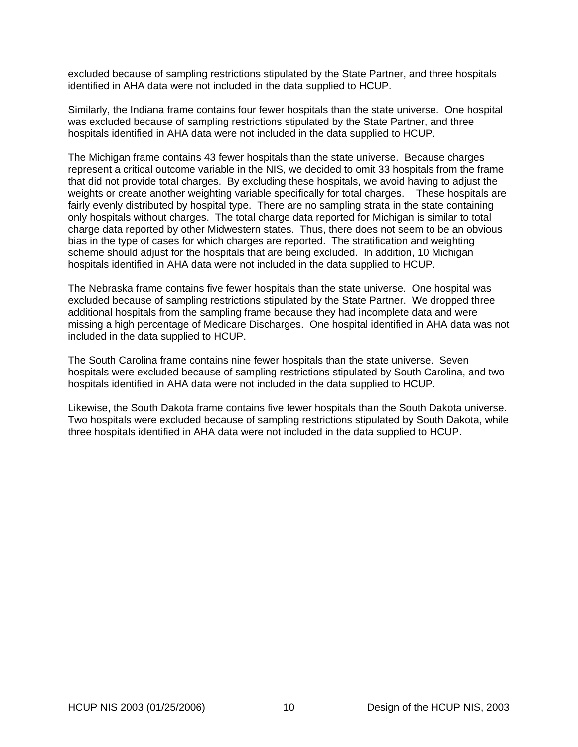excluded because of sampling restrictions stipulated by the State Partner, and three hospitals identified in AHA data were not included in the data supplied to HCUP.

Similarly, the Indiana frame contains four fewer hospitals than the state universe. One hospital was excluded because of sampling restrictions stipulated by the State Partner, and three hospitals identified in AHA data were not included in the data supplied to HCUP.

The Michigan frame contains 43 fewer hospitals than the state universe. Because charges represent a critical outcome variable in the NIS, we decided to omit 33 hospitals from the frame that did not provide total charges. By excluding these hospitals, we avoid having to adjust the weights or create another weighting variable specifically for total charges. These hospitals are fairly evenly distributed by hospital type. There are no sampling strata in the state containing only hospitals without charges. The total charge data reported for Michigan is similar to total charge data reported by other Midwestern states. Thus, there does not seem to be an obvious bias in the type of cases for which charges are reported. The stratification and weighting scheme should adjust for the hospitals that are being excluded. In addition, 10 Michigan hospitals identified in AHA data were not included in the data supplied to HCUP.

The Nebraska frame contains five fewer hospitals than the state universe. One hospital was excluded because of sampling restrictions stipulated by the State Partner. We dropped three additional hospitals from the sampling frame because they had incomplete data and were missing a high percentage of Medicare Discharges. One hospital identified in AHA data was not included in the data supplied to HCUP.

The South Carolina frame contains nine fewer hospitals than the state universe. Seven hospitals were excluded because of sampling restrictions stipulated by South Carolina, and two hospitals identified in AHA data were not included in the data supplied to HCUP.

Likewise, the South Dakota frame contains five fewer hospitals than the South Dakota universe. Two hospitals were excluded because of sampling restrictions stipulated by South Dakota, while three hospitals identified in AHA data were not included in the data supplied to HCUP.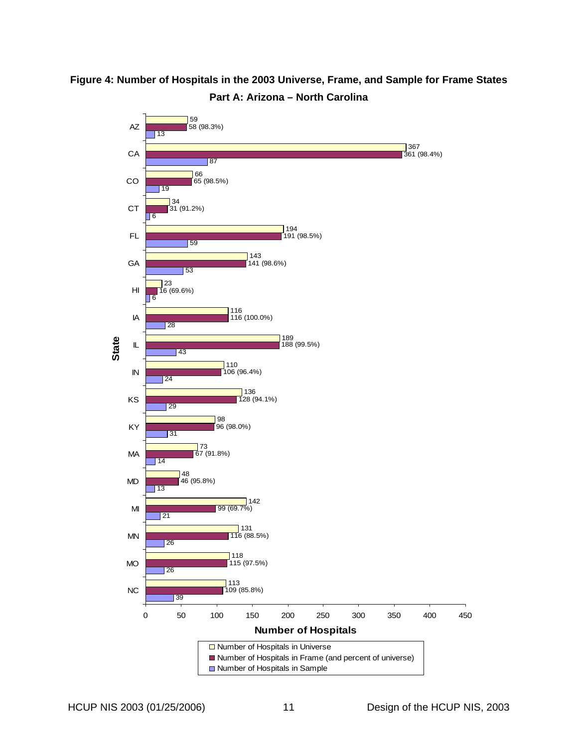<span id="page-18-1"></span><span id="page-18-0"></span>

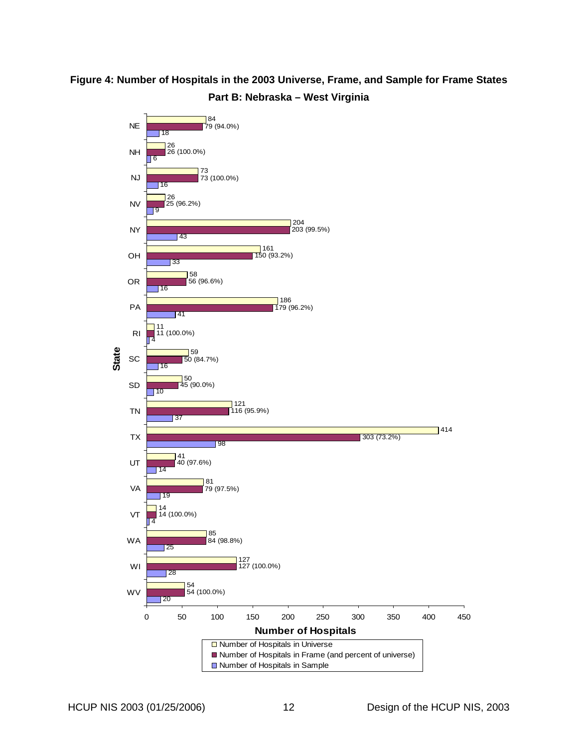# **Figure 4: Number of Hospitals in the 2003 Universe, Frame, and Sample for Frame States Part B: Nebraska – West Virginia**

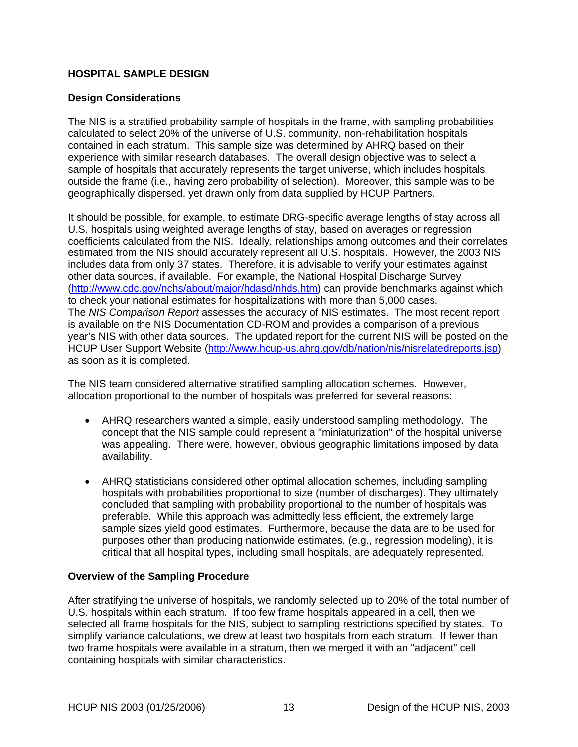## <span id="page-20-0"></span>**HOSPITAL SAMPLE DESIGN**

## **Design Considerations**

The NIS is a stratified probability sample of hospitals in the frame, with sampling probabilities calculated to select 20% of the universe of U.S. community, non-rehabilitation hospitals contained in each stratum. This sample size was determined by AHRQ based on their experience with similar research databases. The overall design objective was to select a sample of hospitals that accurately represents the target universe, which includes hospitals outside the frame (i.e., having zero probability of selection). Moreover, this sample was to be geographically dispersed, yet drawn only from data supplied by HCUP Partners.

It should be possible, for example, to estimate DRG-specific average lengths of stay across all U.S. hospitals using weighted average lengths of stay, based on averages or regression coefficients calculated from the NIS. Ideally, relationships among outcomes and their correlates estimated from the NIS should accurately represent all U.S. hospitals. However, the 2003 NIS includes data from only 37 states. Therefore, it is advisable to verify your estimates against other data sources, if available. For example, the National Hospital Discharge Survey ([http://www.cdc.gov/nchs/about/major/hdasd/nhds.htm\)](http://www.cdc.gov/nchs/about/major/hdasd/nhds.htm) can provide benchmarks against which to check your national estimates for hospitalizations with more than 5,000 cases. The *NIS Comparison Report* assesses the accuracy of NIS estimates. The most recent report is available on the NIS Documentation CD-ROM and provides a comparison of a previous year's NIS with other data sources. The updated report for the current NIS will be posted on the HCUP User Support Website [\(http://www.hcup-us.ahrq.gov/db/nation/nis/nisrelatedreports.jsp\)](http://www.hcup-us.ahrq.gov/db/nation/nis/nisrelatedreports.jsp) as soon as it is completed.

The NIS team considered alternative stratified sampling allocation schemes. However, allocation proportional to the number of hospitals was preferred for several reasons:

- AHRQ researchers wanted a simple, easily understood sampling methodology. The concept that the NIS sample could represent a "miniaturization" of the hospital universe was appealing. There were, however, obvious geographic limitations imposed by data availability.
- AHRQ statisticians considered other optimal allocation schemes, including sampling hospitals with probabilities proportional to size (number of discharges). They ultimately concluded that sampling with probability proportional to the number of hospitals was preferable. While this approach was admittedly less efficient, the extremely large sample sizes yield good estimates. Furthermore, because the data are to be used for purposes other than producing nationwide estimates, (e.g., regression modeling), it is critical that all hospital types, including small hospitals, are adequately represented.

## **Overview of the Sampling Procedure**

After stratifying the universe of hospitals, we randomly selected up to 20% of the total number of U.S. hospitals within each stratum. If too few frame hospitals appeared in a cell, then we selected all frame hospitals for the NIS, subject to sampling restrictions specified by states. To simplify variance calculations, we drew at least two hospitals from each stratum. If fewer than two frame hospitals were available in a stratum, then we merged it with an "adjacent" cell containing hospitals with similar characteristics.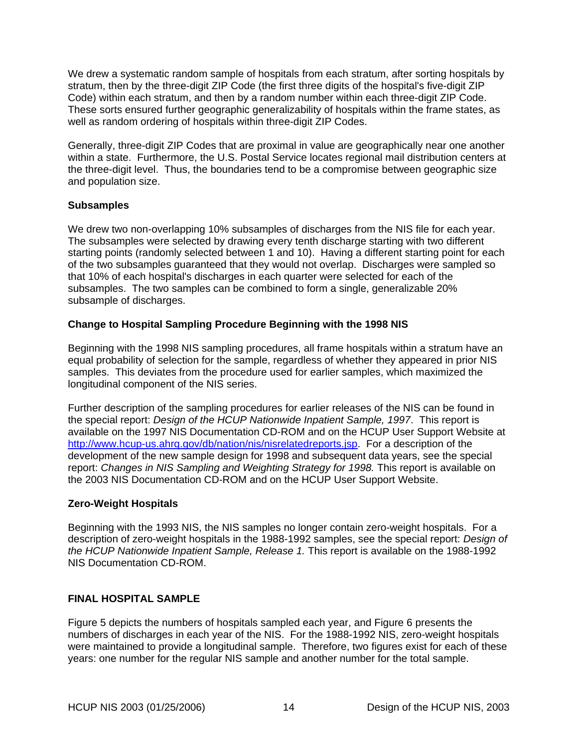<span id="page-21-0"></span>We drew a systematic random sample of hospitals from each stratum, after sorting hospitals by stratum, then by the three-digit ZIP Code (the first three digits of the hospital's five-digit ZIP Code) within each stratum, and then by a random number within each three-digit ZIP Code. These sorts ensured further geographic generalizability of hospitals within the frame states, as well as random ordering of hospitals within three-digit ZIP Codes.

Generally, three-digit ZIP Codes that are proximal in value are geographically near one another within a state. Furthermore, the U.S. Postal Service locates regional mail distribution centers at the three-digit level. Thus, the boundaries tend to be a compromise between geographic size and population size.

## **Subsamples**

We drew two non-overlapping 10% subsamples of discharges from the NIS file for each year. The subsamples were selected by drawing every tenth discharge starting with two different starting points (randomly selected between 1 and 10). Having a different starting point for each of the two subsamples guaranteed that they would not overlap. Discharges were sampled so that 10% of each hospital's discharges in each quarter were selected for each of the subsamples. The two samples can be combined to form a single, generalizable 20% subsample of discharges.

## **Change to Hospital Sampling Procedure Beginning with the 1998 NIS**

Beginning with the 1998 NIS sampling procedures, all frame hospitals within a stratum have an equal probability of selection for the sample, regardless of whether they appeared in prior NIS samples. This deviates from the procedure used for earlier samples, which maximized the longitudinal component of the NIS series.

Further description of the sampling procedures for earlier releases of the NIS can be found in the special report: *Design of the HCUP Nationwide Inpatient Sample, 1997*. This report is available on the 1997 NIS Documentation CD-ROM and on the HCUP User Support Website at [http://www.hcup-us.ahrq.gov/db/nation/nis/nisrelatedreports.jsp.](http://www.hcup-us.ahrq.gov/db/nation/nis/nisrelatedreports.jsp) For a description of the development of the new sample design for 1998 and subsequent data years, see the special report: *Changes in NIS Sampling and Weighting Strategy for 1998.* This report is available on the 2003 NIS Documentation CD-ROM and on the HCUP User Support Website.

## **Zero-Weight Hospitals**

Beginning with the 1993 NIS, the NIS samples no longer contain zero-weight hospitals. For a description of zero-weight hospitals in the 1988-1992 samples, see the special report: *Design of the HCUP Nationwide Inpatient Sample, Release 1.* This report is available on the 1988-1992 NIS Documentation CD-ROM.

## **FINAL HOSPITAL SAMPLE**

[Figure 5](#page-23-1) depicts the numbers of hospitals sampled each year, and [Figure 6](#page-24-1) presents the numbers of discharges in each year of the NIS. For the 1988-1992 NIS, zero-weight hospitals were maintained to provide a longitudinal sample. Therefore, two figures exist for each of these years: one number for the regular NIS sample and another number for the total sample.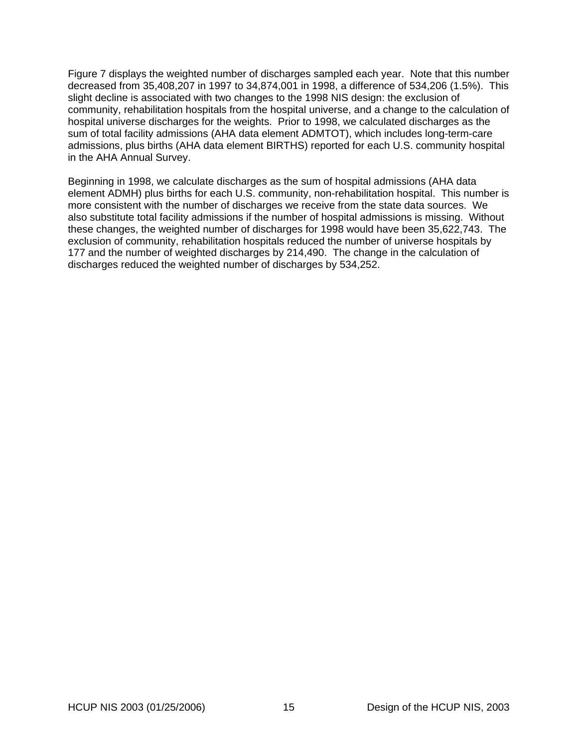[Figure 7](#page-25-1) displays the weighted number of discharges sampled each year. Note that this number decreased from 35,408,207 in 1997 to 34,874,001 in 1998, a difference of 534,206 (1.5%). This slight decline is associated with two changes to the 1998 NIS design: the exclusion of community, rehabilitation hospitals from the hospital universe, and a change to the calculation of hospital universe discharges for the weights. Prior to 1998, we calculated discharges as the sum of total facility admissions (AHA data element ADMTOT), which includes long-term-care admissions, plus births (AHA data element BIRTHS) reported for each U.S. community hospital in the AHA Annual Survey.

Beginning in 1998, we calculate discharges as the sum of hospital admissions (AHA data element ADMH) plus births for each U.S. community, non-rehabilitation hospital. This number is more consistent with the number of discharges we receive from the state data sources. We also substitute total facility admissions if the number of hospital admissions is missing. Without these changes, the weighted number of discharges for 1998 would have been 35,622,743. The exclusion of community, rehabilitation hospitals reduced the number of universe hospitals by 177 and the number of weighted discharges by 214,490. The change in the calculation of discharges reduced the weighted number of discharges by 534,252.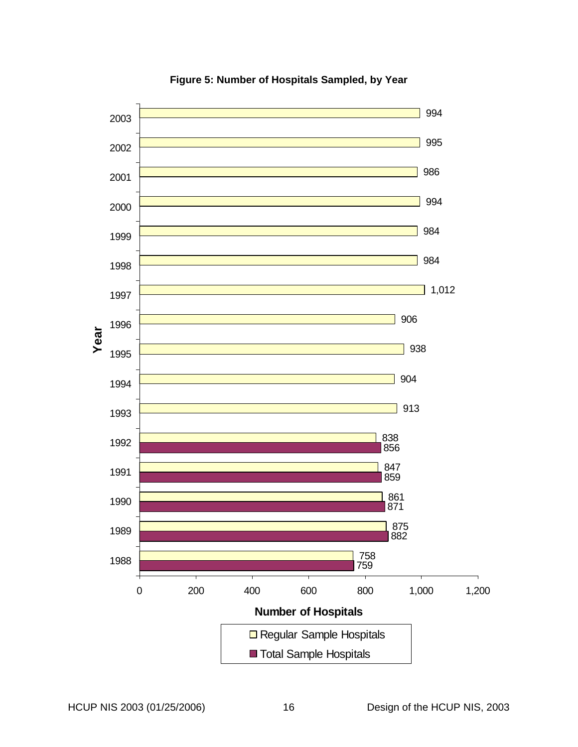<span id="page-23-1"></span><span id="page-23-0"></span>

**Figure 5: Number of Hospitals Sampled, by Year**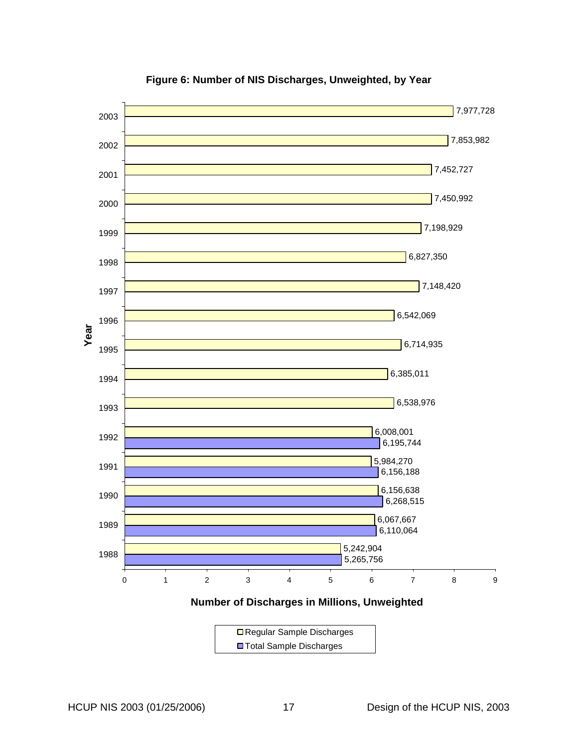<span id="page-24-1"></span><span id="page-24-0"></span>

**Figure 6: Number of NIS Discharges, Unweighted, by Year** 

**Number of Discharges in Millions, Unweighted**

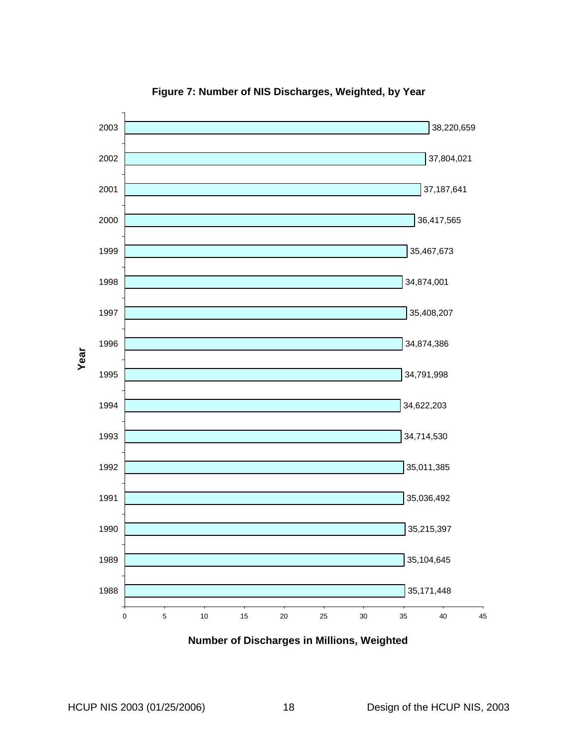<span id="page-25-1"></span><span id="page-25-0"></span>

**Figure 7: Number of NIS Discharges, Weighted, by Year** 

**Number of Discharges in Millions, Weighted**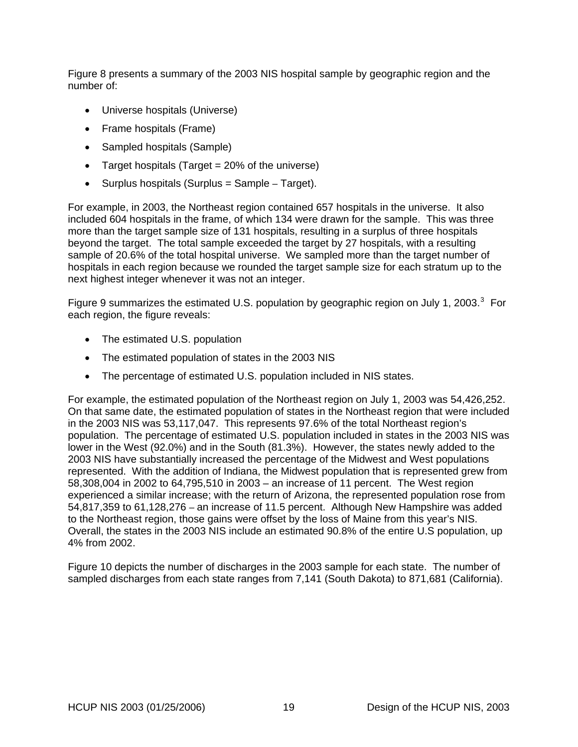[Figure 8](#page-27-1) presents a summary of the 2003 NIS hospital sample by geographic region and the number of:

- Universe hospitals (Universe)
- Frame hospitals (Frame)
- Sampled hospitals (Sample)
- Target hospitals (Target = 20% of the universe)
- Surplus hospitals (Surplus = Sample Target).

For example, in 2003, the Northeast region contained 657 hospitals in the universe. It also included 604 hospitals in the frame, of which 134 were drawn for the sample. This was three more than the target sample size of 131 hospitals, resulting in a surplus of three hospitals beyond the target. The total sample exceeded the target by 27 hospitals, with a resulting sample of 20.6% of the total hospital universe. We sampled more than the target number of hospitals in each region because we rounded the target sample size for each stratum up to the next highest integer whenever it was not an integer.

[Figure 9](#page-28-1) summarizes the estimated U.S. population by geographic region on July 1, 200[3](#page-37-1). $3$  For each region, the figure reveals:

- The estimated U.S. population
- The estimated population of states in the 2003 NIS
- The percentage of estimated U.S. population included in NIS states.

For example, the estimated population of the Northeast region on July 1, 2003 was 54,426,252. On that same date, the estimated population of states in the Northeast region that were included in the 2003 NIS was 53,117,047. This represents 97.6% of the total Northeast region's population. The percentage of estimated U.S. population included in states in the 2003 NIS was lower in the West (92.0%) and in the South (81.3%). However, the states newly added to the 2003 NIS have substantially increased the percentage of the Midwest and West populations represented. With the addition of Indiana, the Midwest population that is represented grew from 58,308,004 in 2002 to 64,795,510 in 2003 – an increase of 11 percent. The West region experienced a similar increase; with the return of Arizona, the represented population rose from 54,817,359 to 61,128,276 – an increase of 11.5 percent. Although New Hampshire was added to the Northeast region, those gains were offset by the loss of Maine from this year's NIS. Overall, the states in the 2003 NIS include an estimated 90.8% of the entire U.S population, up 4% from 2002.

[Figure 10](#page-29-1) depicts the number of discharges in the 2003 sample for each state. The number of sampled discharges from each state ranges from 7,141 (South Dakota) to 871,681 (California).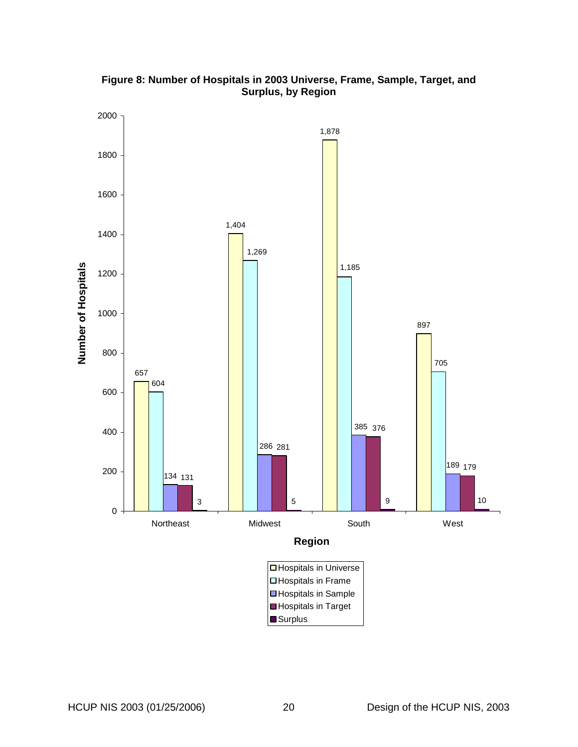<span id="page-27-1"></span><span id="page-27-0"></span>

**Figure 8: Number of Hospitals in 2003 Universe, Frame, Sample, Target, and Surplus, by Region**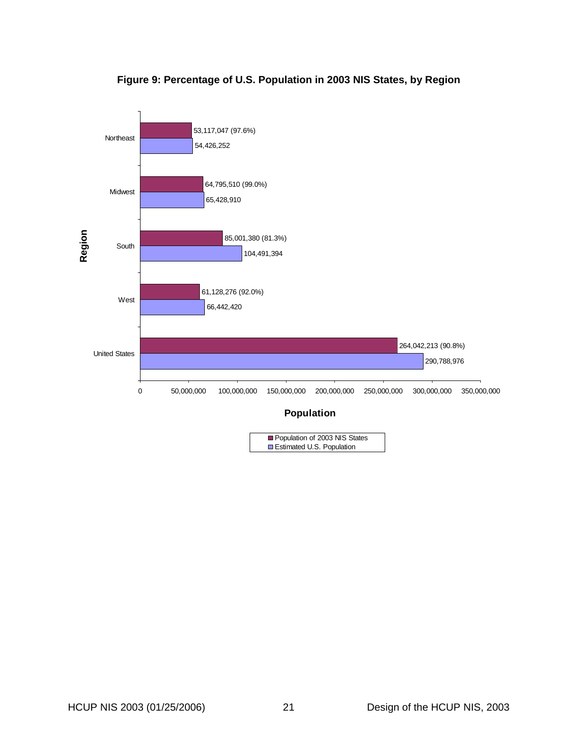<span id="page-28-1"></span><span id="page-28-0"></span>

## **Figure 9: Percentage of U.S. Population in 2003 NIS States, by Region**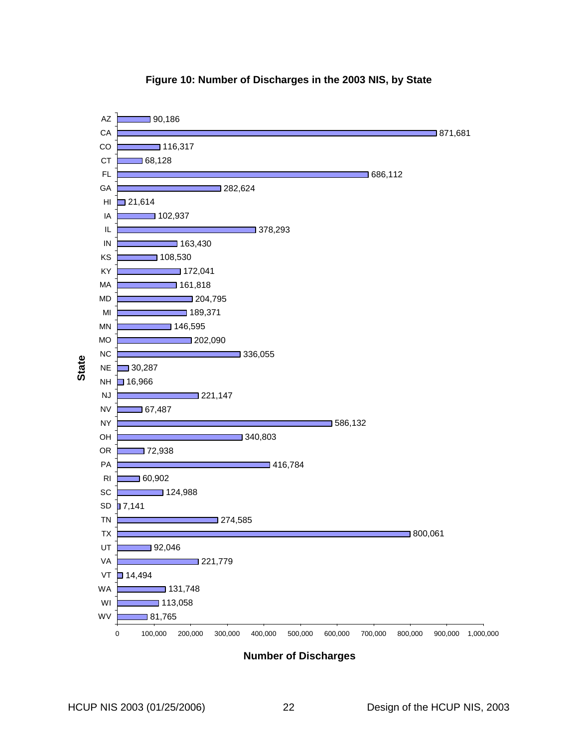<span id="page-29-1"></span><span id="page-29-0"></span>

#### **Figure 10: Number of Discharges in the 2003 NIS, by State**

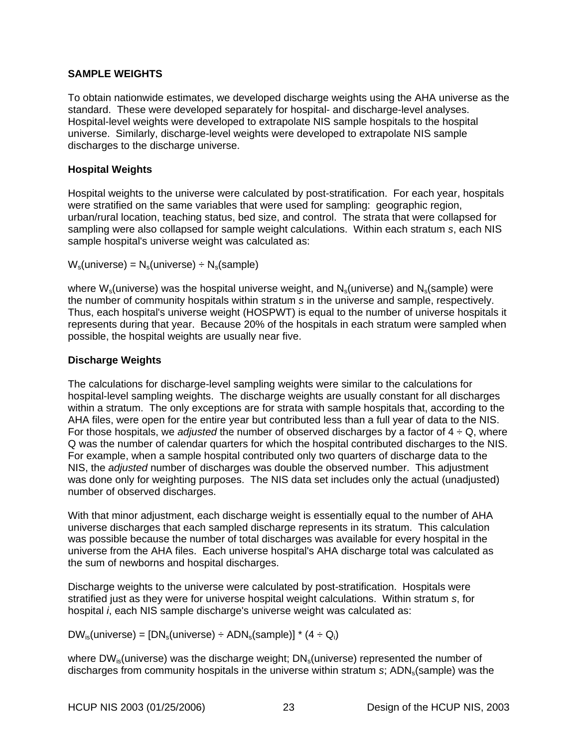## <span id="page-30-0"></span>**SAMPLE WEIGHTS**

To obtain nationwide estimates, we developed discharge weights using the AHA universe as the standard. These were developed separately for hospital- and discharge-level analyses. Hospital-level weights were developed to extrapolate NIS sample hospitals to the hospital universe. Similarly, discharge-level weights were developed to extrapolate NIS sample discharges to the discharge universe.

## **Hospital Weights**

Hospital weights to the universe were calculated by post-stratification. For each year, hospitals were stratified on the same variables that were used for sampling: geographic region, urban/rural location, teaching status, bed size, and control. The strata that were collapsed for sampling were also collapsed for sample weight calculations. Within each stratum *s*, each NIS sample hospital's universe weight was calculated as:

 $W_s$ (universe) =  $N_s$ (universe) ÷  $N_s$ (sample)

where  $W_s$ (universe) was the hospital universe weight, and  $N_s$ (universe) and  $N_s$ (sample) were the number of community hospitals within stratum *s* in the universe and sample, respectively. Thus, each hospital's universe weight (HOSPWT) is equal to the number of universe hospitals it represents during that year. Because 20% of the hospitals in each stratum were sampled when possible, the hospital weights are usually near five.

## **Discharge Weights**

The calculations for discharge-level sampling weights were similar to the calculations for hospital-level sampling weights. The discharge weights are usually constant for all discharges within a stratum. The only exceptions are for strata with sample hospitals that, according to the AHA files, were open for the entire year but contributed less than a full year of data to the NIS. For those hospitals, we *adjusted* the number of observed discharges by a factor of  $4 \div Q$ , where Q was the number of calendar quarters for which the hospital contributed discharges to the NIS. For example, when a sample hospital contributed only two quarters of discharge data to the NIS, the *adjusted* number of discharges was double the observed number. This adjustment was done only for weighting purposes. The NIS data set includes only the actual (unadjusted) number of observed discharges.

With that minor adjustment, each discharge weight is essentially equal to the number of AHA universe discharges that each sampled discharge represents in its stratum. This calculation was possible because the number of total discharges was available for every hospital in the universe from the AHA files. Each universe hospital's AHA discharge total was calculated as the sum of newborns and hospital discharges.

Discharge weights to the universe were calculated by post-stratification. Hospitals were stratified just as they were for universe hospital weight calculations. Within stratum *s*, for hospital *i*, each NIS sample discharge's universe weight was calculated as:

 $DW_{is}$ (universe) =  $[DN_s$ (universe) ÷ ADN<sub>s</sub>(sample)] \* (4 ÷ Q<sub>i</sub>)

where  $DW_{is}$ (universe) was the discharge weight;  $DN_s$ (universe) represented the number of discharges from community hospitals in the universe within stratum *s*; ADN<sub>s</sub>(sample) was the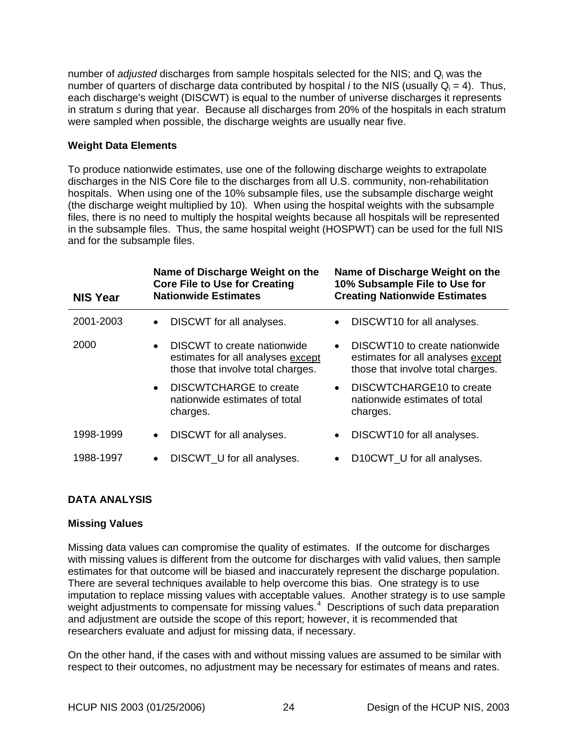<span id="page-31-0"></span>number of *adjusted* discharges from sample hospitals selected for the NIS; and Qi was the number of quarters of discharge data contributed by hospital *i* to the NIS (usually  $Q_i = 4$ ). Thus, each discharge's weight (DISCWT) is equal to the number of universe discharges it represents in stratum *s* during that year. Because all discharges from 20% of the hospitals in each stratum were sampled when possible, the discharge weights are usually near five.

## **Weight Data Elements**

To produce nationwide estimates, use one of the following discharge weights to extrapolate discharges in the NIS Core file to the discharges from all U.S. community, non-rehabilitation hospitals. When using one of the 10% subsample files, use the subsample discharge weight (the discharge weight multiplied by 10). When using the hospital weights with the subsample files, there is no need to multiply the hospital weights because all hospitals will be represented in the subsample files. Thus, the same hospital weight (HOSPWT) can be used for the full NIS and for the subsample files.

| <b>NIS Year</b> | Name of Discharge Weight on the<br><b>Core File to Use for Creating</b><br><b>Nationwide Estimates</b>             | Name of Discharge Weight on the<br>10% Subsample File to Use for<br><b>Creating Nationwide Estimates</b>                         |
|-----------------|--------------------------------------------------------------------------------------------------------------------|----------------------------------------------------------------------------------------------------------------------------------|
| 2001-2003       | DISCWT for all analyses.                                                                                           | DISCWT10 for all analyses.<br>$\bullet$                                                                                          |
| 2000            | DISCWT to create nationwide<br>$\bullet$<br>estimates for all analyses except<br>those that involve total charges. | DISCWT <sub>10</sub> to create nationwide<br>$\bullet$<br>estimates for all analyses except<br>those that involve total charges. |
|                 | <b>DISCWTCHARGE to create</b><br>$\bullet$<br>nationwide estimates of total<br>charges.                            | DISCWTCHARGE10 to create<br>nationwide estimates of total<br>charges.                                                            |
| 1998-1999       | DISCWT for all analyses.<br>$\bullet$                                                                              | DISCWT10 for all analyses.<br>$\bullet$                                                                                          |
| 1988-1997       | DISCWT_U for all analyses.<br>$\bullet$                                                                            | D10CWT_U for all analyses.                                                                                                       |

## **DATA ANALYSIS**

## **Missing Values**

Missing data values can compromise the quality of estimates. If the outcome for discharges with missing values is different from the outcome for discharges with valid values, then sample estimates for that outcome will be biased and inaccurately represent the discharge population. There are several techniques available to help overcome this bias. One strategy is to use imputation to replace missing values with acceptable values. Another strategy is to use sample weight adjustments to compensate for missing values.<sup>[4](#page-37-1)</sup> Descriptions of such data preparation and adjustment are outside the scope of this report; however, it is recommended that researchers evaluate and adjust for missing data, if necessary.

On the other hand, if the cases with and without missing values are assumed to be similar with respect to their outcomes, no adjustment may be necessary for estimates of means and rates.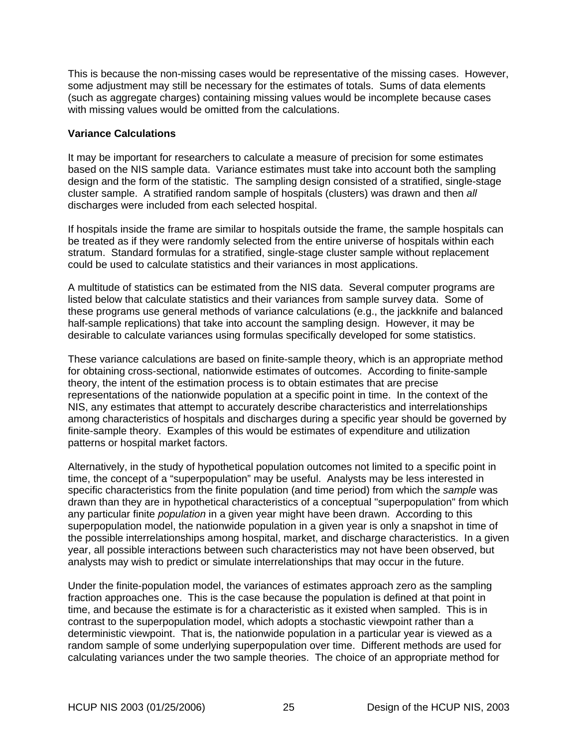<span id="page-32-0"></span>This is because the non-missing cases would be representative of the missing cases. However, some adjustment may still be necessary for the estimates of totals. Sums of data elements (such as aggregate charges) containing missing values would be incomplete because cases with missing values would be omitted from the calculations.

#### **Variance Calculations**

It may be important for researchers to calculate a measure of precision for some estimates based on the NIS sample data. Variance estimates must take into account both the sampling design and the form of the statistic. The sampling design consisted of a stratified, single-stage cluster sample. A stratified random sample of hospitals (clusters) was drawn and then *all* discharges were included from each selected hospital.

If hospitals inside the frame are similar to hospitals outside the frame, the sample hospitals can be treated as if they were randomly selected from the entire universe of hospitals within each stratum. Standard formulas for a stratified, single-stage cluster sample without replacement could be used to calculate statistics and their variances in most applications.

A multitude of statistics can be estimated from the NIS data. Several computer programs are listed below that calculate statistics and their variances from sample survey data. Some of these programs use general methods of variance calculations (e.g., the jackknife and balanced half-sample replications) that take into account the sampling design. However, it may be desirable to calculate variances using formulas specifically developed for some statistics.

These variance calculations are based on finite-sample theory, which is an appropriate method for obtaining cross-sectional, nationwide estimates of outcomes. According to finite-sample theory, the intent of the estimation process is to obtain estimates that are precise representations of the nationwide population at a specific point in time. In the context of the NIS, any estimates that attempt to accurately describe characteristics and interrelationships among characteristics of hospitals and discharges during a specific year should be governed by finite-sample theory. Examples of this would be estimates of expenditure and utilization patterns or hospital market factors.

Alternatively, in the study of hypothetical population outcomes not limited to a specific point in time, the concept of a "superpopulation" may be useful. Analysts may be less interested in specific characteristics from the finite population (and time period) from which the *sample* was drawn than they are in hypothetical characteristics of a conceptual "superpopulation" from which any particular finite *population* in a given year might have been drawn. According to this superpopulation model, the nationwide population in a given year is only a snapshot in time of the possible interrelationships among hospital, market, and discharge characteristics. In a given year, all possible interactions between such characteristics may not have been observed, but analysts may wish to predict or simulate interrelationships that may occur in the future.

Under the finite-population model, the variances of estimates approach zero as the sampling fraction approaches one. This is the case because the population is defined at that point in time, and because the estimate is for a characteristic as it existed when sampled. This is in contrast to the superpopulation model, which adopts a stochastic viewpoint rather than a deterministic viewpoint. That is, the nationwide population in a particular year is viewed as a random sample of some underlying superpopulation over time. Different methods are used for calculating variances under the two sample theories. The choice of an appropriate method for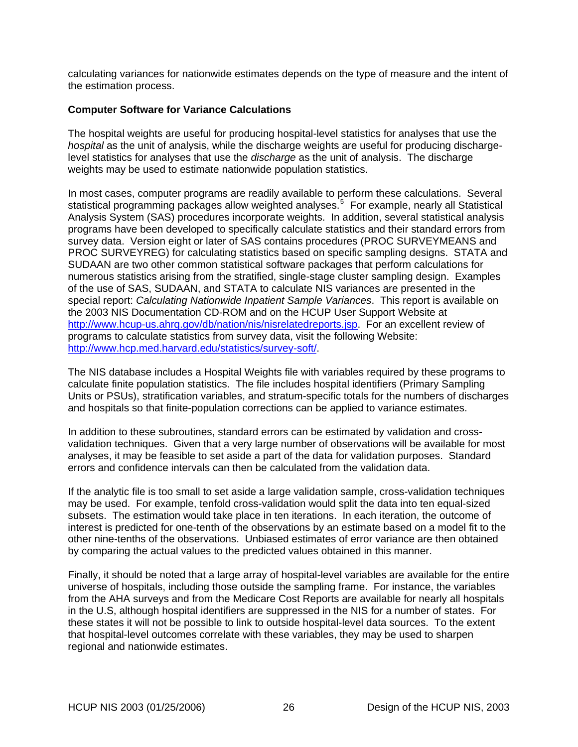<span id="page-33-0"></span>calculating variances for nationwide estimates depends on the type of measure and the intent of the estimation process.

#### **Computer Software for Variance Calculations**

The hospital weights are useful for producing hospital-level statistics for analyses that use the *hospital* as the unit of analysis, while the discharge weights are useful for producing dischargelevel statistics for analyses that use the *discharge* as the unit of analysis. The discharge weights may be used to estimate nationwide population statistics.

In most cases, computer programs are readily available to perform these calculations. Several statistical programming packages allow weighted analyses.<sup>[5](#page-37-1)</sup> For example, nearly all Statistical Analysis System (SAS) procedures incorporate weights. In addition, several statistical analysis programs have been developed to specifically calculate statistics and their standard errors from survey data. Version eight or later of SAS contains procedures (PROC SURVEYMEANS and PROC SURVEYREG) for calculating statistics based on specific sampling designs. STATA and SUDAAN are two other common statistical software packages that perform calculations for numerous statistics arising from the stratified, single-stage cluster sampling design. Examples of the use of SAS, SUDAAN, and STATA to calculate NIS variances are presented in the special report: *Calculating Nationwide Inpatient Sample Variances*. This report is available on the 2003 NIS Documentation CD-ROM and on the HCUP User Support Website at [http://www.hcup-us.ahrq.gov/db/nation/nis/nisrelatedreports.jsp.](http://www.hcup-us.ahrq.gov/db/nation/nis/nisrelatedreports.jsp) For an excellent review of programs to calculate statistics from survey data, visit the following Website: [http://www.hcp.med.harvard.edu/statistics/survey-soft/.](http://www.hcp.med.harvard.edu/statistics/survey-soft/)

The NIS database includes a Hospital Weights file with variables required by these programs to calculate finite population statistics. The file includes hospital identifiers (Primary Sampling Units or PSUs), stratification variables, and stratum-specific totals for the numbers of discharges and hospitals so that finite-population corrections can be applied to variance estimates.

In addition to these subroutines, standard errors can be estimated by validation and crossvalidation techniques. Given that a very large number of observations will be available for most analyses, it may be feasible to set aside a part of the data for validation purposes. Standard errors and confidence intervals can then be calculated from the validation data.

If the analytic file is too small to set aside a large validation sample, cross-validation techniques may be used. For example, tenfold cross-validation would split the data into ten equal-sized subsets. The estimation would take place in ten iterations. In each iteration, the outcome of interest is predicted for one-tenth of the observations by an estimate based on a model fit to the other nine-tenths of the observations. Unbiased estimates of error variance are then obtained by comparing the actual values to the predicted values obtained in this manner.

Finally, it should be noted that a large array of hospital-level variables are available for the entire universe of hospitals, including those outside the sampling frame. For instance, the variables from the AHA surveys and from the Medicare Cost Reports are available for nearly all hospitals in the U.S, although hospital identifiers are suppressed in the NIS for a number of states. For these states it will not be possible to link to outside hospital-level data sources. To the extent that hospital-level outcomes correlate with these variables, they may be used to sharpen regional and nationwide estimates.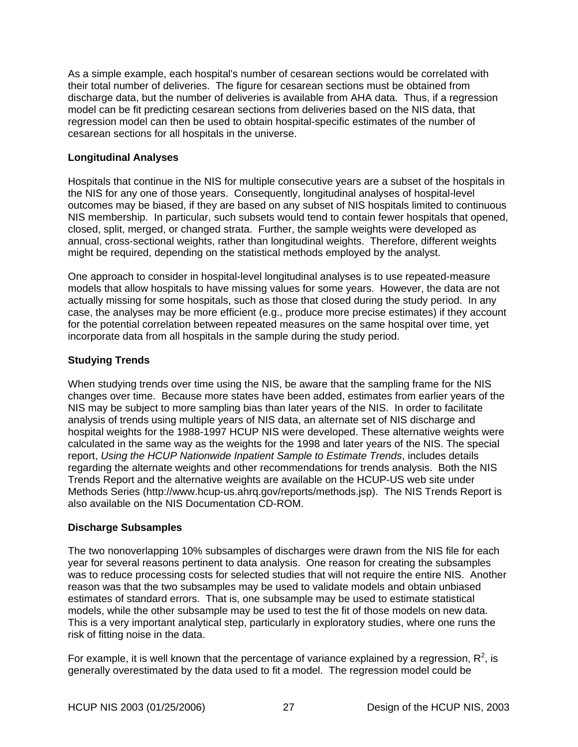<span id="page-34-0"></span>As a simple example, each hospital's number of cesarean sections would be correlated with their total number of deliveries. The figure for cesarean sections must be obtained from discharge data, but the number of deliveries is available from AHA data. Thus, if a regression model can be fit predicting cesarean sections from deliveries based on the NIS data, that regression model can then be used to obtain hospital-specific estimates of the number of cesarean sections for all hospitals in the universe.

## **Longitudinal Analyses**

Hospitals that continue in the NIS for multiple consecutive years are a subset of the hospitals in the NIS for any one of those years. Consequently, longitudinal analyses of hospital-level outcomes may be biased, if they are based on any subset of NIS hospitals limited to continuous NIS membership. In particular, such subsets would tend to contain fewer hospitals that opened, closed, split, merged, or changed strata. Further, the sample weights were developed as annual, cross-sectional weights, rather than longitudinal weights. Therefore, different weights might be required, depending on the statistical methods employed by the analyst.

One approach to consider in hospital-level longitudinal analyses is to use repeated-measure models that allow hospitals to have missing values for some years. However, the data are not actually missing for some hospitals, such as those that closed during the study period. In any case, the analyses may be more efficient (e.g., produce more precise estimates) if they account for the potential correlation between repeated measures on the same hospital over time, yet incorporate data from all hospitals in the sample during the study period.

## **Studying Trends**

When studying trends over time using the NIS, be aware that the sampling frame for the NIS changes over time. Because more states have been added, estimates from earlier years of the NIS may be subject to more sampling bias than later years of the NIS. In order to facilitate analysis of trends using multiple years of NIS data, an alternate set of NIS discharge and hospital weights for the 1988-1997 HCUP NIS were developed. These alternative weights were calculated in the same way as the weights for the 1998 and later years of the NIS. The special report, *Using the HCUP Nationwide Inpatient Sample to Estimate Trends*, includes details regarding the alternate weights and other recommendations for trends analysis. Both the NIS Trends Report and the alternative weights are available on the HCUP-US web site under Methods Series (http://www.hcup-us.ahrq.gov/reports/methods.jsp). The NIS Trends Report is also available on the NIS Documentation CD-ROM.

## **Discharge Subsamples**

The two nonoverlapping 10% subsamples of discharges were drawn from the NIS file for each year for several reasons pertinent to data analysis. One reason for creating the subsamples was to reduce processing costs for selected studies that will not require the entire NIS. Another reason was that the two subsamples may be used to validate models and obtain unbiased estimates of standard errors. That is, one subsample may be used to estimate statistical models, while the other subsample may be used to test the fit of those models on new data. This is a very important analytical step, particularly in exploratory studies, where one runs the risk of fitting noise in the data.

For example, it is well known that the percentage of variance explained by a regression,  $\mathsf{R}^2$ , is generally overestimated by the data used to fit a model. The regression model could be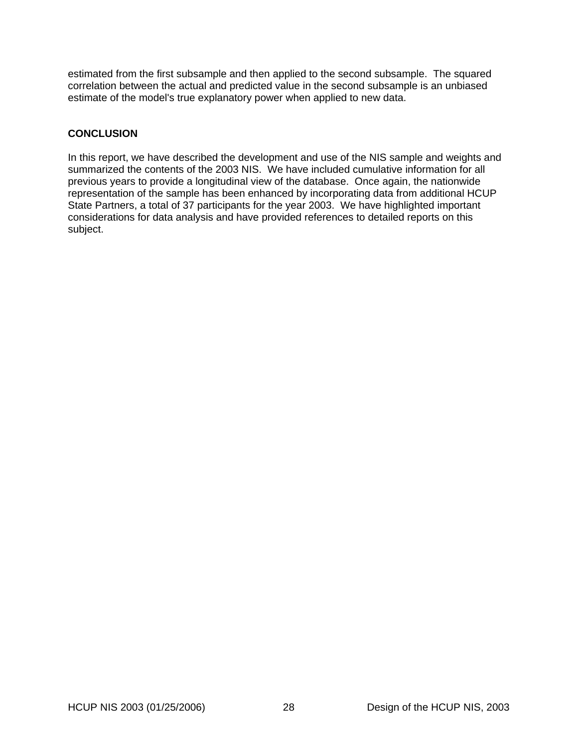<span id="page-35-0"></span>estimated from the first subsample and then applied to the second subsample. The squared correlation between the actual and predicted value in the second subsample is an unbiased estimate of the model's true explanatory power when applied to new data.

## **CONCLUSION**

In this report, we have described the development and use of the NIS sample and weights and summarized the contents of the 2003 NIS. We have included cumulative information for all previous years to provide a longitudinal view of the database. Once again, the nationwide representation of the sample has been enhanced by incorporating data from additional HCUP State Partners, a total of 37 participants for the year 2003. We have highlighted important considerations for data analysis and have provided references to detailed reports on this subject.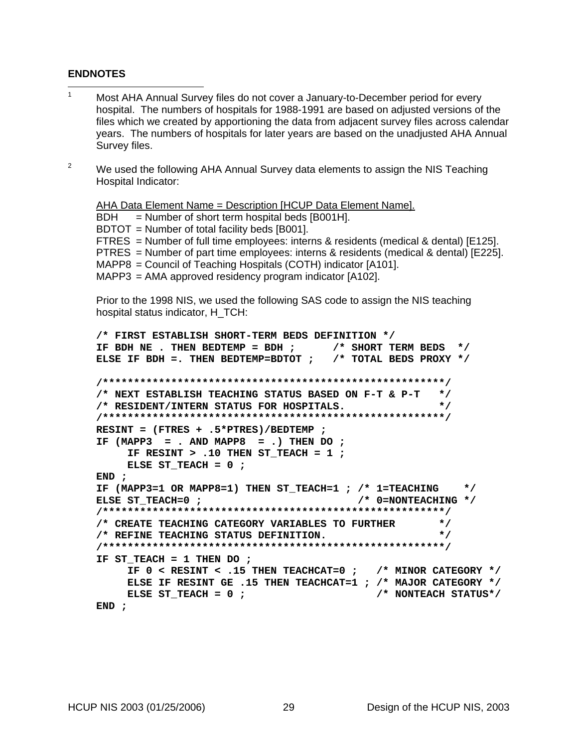#### <span id="page-36-0"></span>**ENDNOTES**

- 1 Most AHA Annual Survey files do not cover a January-to-December period for every hospital. The numbers of hospitals for 1988-1991 are based on adjusted versions of the files which we created by apportioning the data from adjacent survey files across calendar years. The numbers of hospitals for later years are based on the unadjusted AHA Annual Survey files.
- $\mathfrak{p}$  We used the following AHA Annual Survey data elements to assign the NIS Teaching Hospital Indicator:

AHA Data Element Name = Description [HCUP Data Element Name].

 $BDH = Number of short term hospital beds [B001H].$ 

BDTOT = Number of total facility beds [B001].

FTRES = Number of full time employees: interns & residents (medical & dental) [E125]. PTRES = Number of part time employees: interns & residents (medical & dental) [E225]. MAPP8 = Council of Teaching Hospitals (COTH) indicator [A101].

MAPP3 = AMA approved residency program indicator [A102].

Prior to the 1998 NIS, we used the following SAS code to assign the NIS teaching hospital status indicator, H\_TCH:

```
/* FIRST ESTABLISH SHORT-TERM BEDS DEFINITION */ 
IF BDH NE . THEN BEDTEMP = BDH ; /* SHORT TERM BEDS */ 
ELSE IF BDH =. THEN BEDTEMP=BDTOT ; /* TOTAL BEDS PROXY */ 
/*******************************************************/ 
/* NEXT ESTABLISH TEACHING STATUS BASED ON F-T & P-T */ 
/* RESIDENT/INTERN STATUS FOR HOSPITALS. */ 
/*******************************************************/ 
RESINT = (FTRES + .5*PTRES)/BEDTEMP ; 
IF (MAPP3 = . AND MAPP8 = .) THEN DO ; 
     IF RESINT > .10 THEN ST_TEACH = 1 ; 
     ELSE ST_TEACH = 0 ; 
END ; 
IF (MAPP3=1 OR MAPP8=1) THEN ST_TEACH=1 ; /* 1=TEACHING */ 
ELSE ST_TEACH=0 ; \hspace{1cm} /* 0=NONTEACHING */
/*******************************************************/ 
/* CREATE TEACHING CATEGORY VARIABLES TO FURTHER */ 
/* REFINE TEACHING STATUS DEFINITION. */ 
/*******************************************************/ 
IF ST TEACH = 1 THEN DO ;
     IF 0 < RESINT < .15 THEN TEACHCAT=0 ; /* MINOR CATEGORY */ 
     ELSE IF RESINT GE .15 THEN TEACHCAT=1 ; /* MAJOR CATEGORY */ 
     ELSE ST_TEACH = 0 ; /* NONTEACH STATUS*/ 
END ;
```